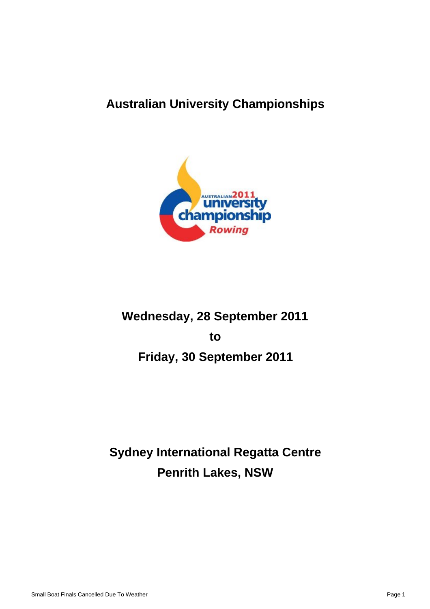# **Australian University Championships**



# **Wednesday, 28 September 2011 to Friday, 30 September 2011**

# **Sydney International Regatta Centre Penrith Lakes, NSW**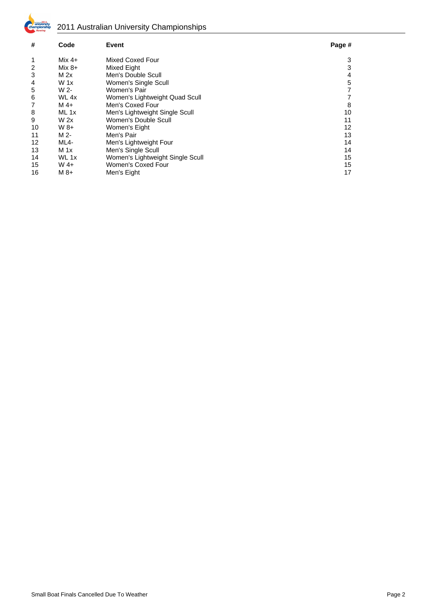

# 2011 Australian University Championships

| #  | Code            | Event                            | Page # |
|----|-----------------|----------------------------------|--------|
| 1  | Mix $4+$        | Mixed Coxed Four                 | 3      |
| 2  | $Mix 8+$        | Mixed Eight                      | 3      |
| 3  | M <sub>2x</sub> | Men's Double Scull               | 4      |
| 4  | $W_1x$          | Women's Single Scull             | 5      |
| 5  | W 2-            | Women's Pair                     |        |
| 6  | WL 4x           | Women's Lightweight Quad Scull   |        |
| 7  | $M$ 4+          | Men's Coxed Four                 | 8      |
| 8  | ML 1x           | Men's Lightweight Single Scull   | 10     |
| 9  | W <sub>2x</sub> | Women's Double Scull             | 11     |
| 10 | $W_8+$          | Women's Eight                    | 12     |
| 11 | M 2-            | Men's Pair                       | 13     |
| 12 | ML4-            | Men's Lightweight Four           | 14     |
| 13 | M 1x            | Men's Single Scull               | 14     |
| 14 | WL 1x           | Women's Lightweight Single Scull | 15     |
| 15 | W 4+            | <b>Women's Coxed Four</b>        | 15     |
| 16 | $M8+$           | Men's Eight                      | 17     |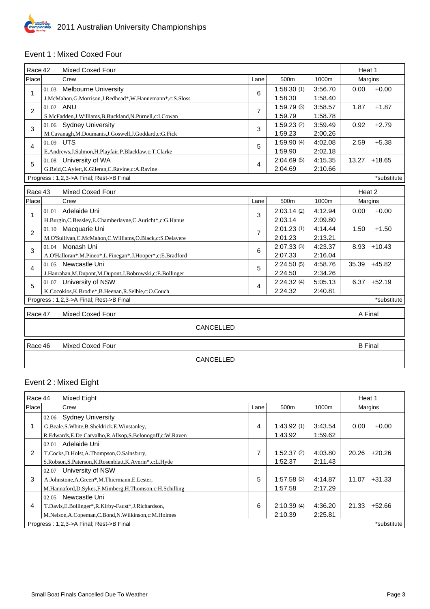

### Event 1 : Mixed Coxed Four

| Race 42        |           | <b>Mixed Coxed Four</b>                                     |           |                |            |         | Heat 1         |                |
|----------------|-----------|-------------------------------------------------------------|-----------|----------------|------------|---------|----------------|----------------|
| Place          |           | Crew                                                        |           | Lane           | 500m       | 1000m   |                | Margins        |
| 1              | 01.03     | <b>Melbourne University</b>                                 |           | 6              | 1:58.30(1) | 3:56.70 | 0.00           | $+0.00$        |
|                |           | J.McMahon, G.Morrison, J.Redhead*, W.Hannemann*, c: S.Sloss |           |                | 1:58.30    | 1:58.40 |                |                |
| $\overline{2}$ | 01.02 ANU |                                                             |           | $\overline{7}$ | 1:59.79(3) | 3:58.57 | 1.87           | $+1.87$        |
|                |           | S.McFadden, J.Williams, B.Buckland, N.Purnell, c: I.Cowan   |           |                | 1:59.79    | 1:58.78 |                |                |
| 3              |           | 01.06 Sydney University                                     |           | 3              | 1:59.23(2) | 3:59.49 | 0.92           | $+2.79$        |
|                |           | M.Cavanagh, M.Doumanis, J.Goswell, J.Goddard, c: G.Fick     |           |                | 1:59.23    | 2:00.26 |                |                |
| 4              | 01.09 UTS |                                                             |           | 5              | 1:59.90(4) | 4:02.08 | 2.59           | $+5.38$        |
|                |           | E.Andrews, J.Salmon, H.Playfair, P.Blacklaw, c: T.Clarke    |           |                | 1:59.90    | 2:02.18 |                |                |
| 5              |           | 01.08 University of WA                                      |           | 4              | 2:04.69(5) | 4:15.35 |                | 13.27 +18.65   |
|                |           | G.Reid,C.Aylett,K.Gileran,C.Ravine,c:A.Ravine               |           |                | 2:04.69    | 2:10.66 |                |                |
|                |           | Progress: 1,2,3->A Final; Rest->B Final                     |           |                |            |         |                | *substitute    |
| Race 43        |           | <b>Mixed Coxed Four</b>                                     |           |                |            |         | Heat 2         |                |
| Place          |           | Crew                                                        |           | Lane           | 500m       | 1000m   |                | Margins        |
|                | 01.01     | Adelaide Uni                                                |           |                | 2:03.14(2) | 4:12.94 | 0.00           | $+0.00$        |
| 1              |           | H.Burgin, C.Beasley, E.Chamberlayne, C.Auricht*, c: G.Hanus |           | 3              | 2:03.14    | 2:09.80 |                |                |
|                |           | 01.10 Macquarie Uni                                         |           |                | 2:01.23(1) | 4:14.44 | 1.50           | $+1.50$        |
| 2              |           | M.O'Sullivan, C.McMahon, C.Williams, O.Black, c: S.Delavere |           | $\overline{7}$ | 2:01.23    | 2:13.21 |                |                |
|                |           | 01.04 Monash Uni                                            |           |                | 2:07.33(3) | 4:23.37 |                | $8.93 + 10.43$ |
| 3              |           | A.O'Halloran*,M.Pineo*,L.Finegan*,J.Hooper*,c:E.Bradford    |           | 6              | 2:07.33    | 2:16.04 |                |                |
|                |           | 01.05 Newcastle Uni                                         |           |                | 2:24.50(5) | 4:58.76 | 35.39          | $+45.82$       |
| 4              |           | J.Hanrahan, M.Dupont, M.Dupont, J.Bobrowski, c: E.Bollinger |           | 5              | 2:24.50    | 2:34.26 |                |                |
|                |           | 01.07 University of NSW                                     |           |                | 2:24.32(4) | 5:05.13 |                | $6.37 +52.19$  |
| 5              |           | K.Cocokios, K.Brodie*, B.Heenan, R.Selbie, c: O.Couch       |           | 4              | 2:24.32    | 2:40.81 |                |                |
|                |           | Progress: 1,2,3->A Final; Rest->B Final                     |           |                |            |         |                | *substitute    |
| Race 47        |           | <b>Mixed Coxed Four</b>                                     |           |                |            |         | A Final        |                |
|                |           |                                                             |           |                |            |         |                |                |
|                |           |                                                             | CANCELLED |                |            |         |                |                |
| Race 46        |           | <b>Mixed Coxed Four</b>                                     |           |                |            |         | <b>B</b> Final |                |
|                |           |                                                             | CANCELLED |                |            |         |                |                |
|                |           |                                                             |           |                |            |         |                |                |

#### Event 2 : Mixed Eight

| Race 44        | Mixed Eight                                                  |      |                  |         | Heat 1 |             |
|----------------|--------------------------------------------------------------|------|------------------|---------|--------|-------------|
| <b>Place</b>   | Crew                                                         | Lane | 500 <sub>m</sub> | 1000m   |        | Margins     |
|                | 02.06 Sydney University                                      |      |                  |         |        |             |
| 1              | G.Beale, S.White, B.Sheldrick, E.Winstanley,                 | 4    | 1:43.92(1)       | 3:43.54 | 0.00   | $+0.00$     |
|                | R.Edwards, E.De Carvalho, R.Allsop, S.Belonogoff, c: W.Raven |      | 1:43.92          | 1:59.62 |        |             |
|                | Adelaide Uni<br>02.01                                        |      |                  |         |        |             |
| $\overline{2}$ | T.Cocks, D.Holst, A.Thompson, O.Sainsbury,                   | 7    | 1:52.37(2)       | 4:03.80 | 20.26  | $+20.26$    |
|                | S.Robson, S.Paterson, K.Rosenblatt, K.Averin*, c: L.Hyde     |      | 1:52.37          | 2:11.43 |        |             |
|                | University of NSW<br>02.07                                   |      |                  |         |        |             |
| 3              | A.Johnstone, A.Green*, M.Thiermann, E.Lester,                | 5    | 1:57.58(3)       | 4:14.87 | 11.07  | $+31.33$    |
|                | M.Hannaford, D.Sykes, F.Mimberg, H.Thomson, c: H.Schilling   |      | 1:57.58          | 2:17.29 |        |             |
|                | Newcastle Uni<br>02.05                                       |      |                  |         |        |             |
| 4              | T.Davis, E.Bollinger*, R.Kirby-Faust*, J.Richardson,         | 6    | 2:10.39(4)       | 4:36.20 | 21.33  | $+52.66$    |
|                | M.Nelson, A.Copeman, C.Bond, N.Wilkinson, c: M.Holmes        |      | 2:10.39          | 2:25.81 |        |             |
|                | Progress: 1,2,3->A Final; Rest->B Final                      |      |                  |         |        | *substitute |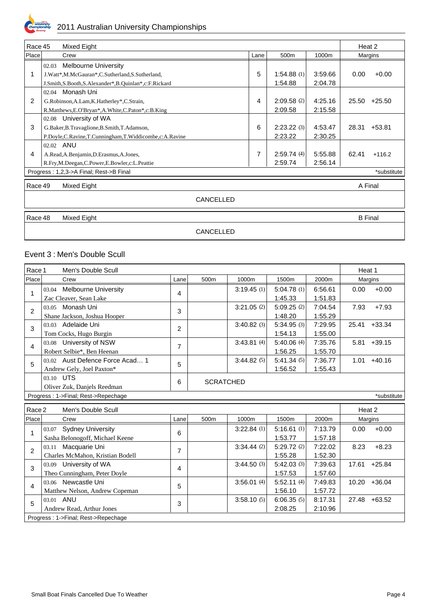

| Race 45        |           | Mixed Eight                                                |                  |      |            |         | Heat 2 |                |
|----------------|-----------|------------------------------------------------------------|------------------|------|------------|---------|--------|----------------|
| Place          |           | Crew                                                       |                  | Lane | 500m       | 1000m   |        | Margins        |
|                | 02.03     | <b>Melbourne University</b>                                |                  |      |            |         |        |                |
|                |           | J.Watt*,M.McGauran*,C.Sutherland,S.Sutherland,             |                  | 5    | 1:54.88(1) | 3:59.66 | 0.00   | $+0.00$        |
|                |           | J.Smith, S.Booth, S.Alexander*, B.Quinlan*, c: F.Rickard   |                  |      | 1:54.88    | 2:04.78 |        |                |
|                | 02.04     | Monash Uni                                                 |                  |      |            |         |        |                |
| $\overline{2}$ |           | G.Robinson, A.Lam, K.Hatherley*, C.Strain,                 |                  | 4    | 2:09.58(2) | 4:25.16 | 25.50  | $+25.50$       |
|                |           | R.Matthews,E.O'Bryan*,A.White,C.Paton*,c:B.King            |                  |      | 2:09.58    | 2:15.58 |        |                |
|                | 02.08     | University of WA                                           |                  |      |            |         |        |                |
| 3              |           | G.Baker, B.Travaglione, B.Smith, T.Adamson,                |                  | 6    | 2:23.22(3) | 4:53.47 | 28.31  | $+53.81$       |
|                |           | P.Doyle, C.Ravine, T.Cunningham, T.Widdicombe, c: A.Ravine |                  |      | 2:23.22    | 2:30.25 |        |                |
|                | 02.02 ANU |                                                            |                  |      |            |         |        |                |
| 4              |           | A.Read, A.Benjamin, D.Erasmus, A.Jones,                    |                  | 7    | 2:59.74(4) | 5:55.88 | 62.41  | $+116.2$       |
|                |           | R.Fry, M.Deegan, C.Power, E.Bowler, c: L.Peattie           |                  |      | 2:59.74    | 2:56.14 |        |                |
|                |           | Progress: 1,2,3->A Final; Rest->B Final                    |                  |      |            |         |        | *substitute    |
| Race 49        |           | <b>Mixed Eight</b>                                         |                  |      |            |         |        | A Final        |
|                |           |                                                            | <b>CANCELLED</b> |      |            |         |        |                |
| Race 48        |           | Mixed Eight                                                |                  |      |            |         |        | <b>B</b> Final |

CANCELLED

#### Event 3 : Men's Double Scull

| Race 1         | Men's Double Scull                                  |      |                  |            |                       |                    | Heat 1 |             |
|----------------|-----------------------------------------------------|------|------------------|------------|-----------------------|--------------------|--------|-------------|
| Place          | Crew                                                | Lane | 500m             | 1000m      | 1500m                 | 2000m              |        | Margins     |
|                | <b>Melbourne University</b><br>03.04                |      |                  | 3:19.45(1) | 5:04.78(1)            | 6:56.61            | 0.00   | $+0.00$     |
| 1              | Zac Cleaver, Sean Lake                              | 4    |                  |            | 1:45.33               | 1:51.83            |        |             |
|                | Monash Uni<br>03.05                                 |      |                  | 3:21.05(2) | 5:09.25(2)            | 7:04.54            | 7.93   | $+7.93$     |
| $\overline{2}$ | Shane Jackson, Joshua Hooper                        | 3    |                  |            | 1:48.20               | 1:55.29            |        |             |
|                | 03.03 Adelaide Uni                                  |      |                  | 3:40.82(3) | 5:34.95(3)            | 7:29.95            | 25.41  | $+33.34$    |
| 3              | Tom Cocks, Hugo Burgin                              | 2    |                  |            | 1:54.13               | 1:55.00            |        |             |
|                | 03.08 University of NSW                             |      |                  | 3:43.81(4) | 5:40.06(4)            | 7:35.76            | 5.81   | $+39.15$    |
| 4              | Robert Selbie*, Ben Heenan                          | 7    |                  |            | 1:56.25               | 1:55.70            |        |             |
| 5              | 03.02 Aust Defence Force Acad 1                     |      |                  | 3:44.82(5) | 5:41.34(5)            | 7:36.77            | 1.01   | $+40.16$    |
|                | Andrew Gely, Joel Paxton*                           | 5    |                  |            | 1:56.52               | 1:55.43            |        |             |
|                | 03.10 UTS                                           |      |                  |            |                       |                    |        |             |
|                | Oliver Zuk, Danjels Reedman                         | 6    | <b>SCRATCHED</b> |            |                       |                    |        |             |
|                |                                                     |      |                  |            |                       |                    |        |             |
|                | Progress: 1->Final; Rest->Repechage                 |      |                  |            |                       |                    |        | *substitute |
|                | Men's Double Scull                                  |      |                  |            |                       |                    | Heat 2 |             |
| Race 2         | Crew                                                | Lane | 500m             | 1000m      | 1500m                 | 2000m              |        | Margins     |
| Place          |                                                     |      |                  |            |                       |                    |        |             |
| 1              | 03.07 Sydney University                             | 6    |                  | 3:22.84(1) | 5:16.61(1)            | 7:13.79            | 0.00   | $+0.00$     |
|                | Sasha Belonogoff, Michael Keene                     |      |                  |            | 1:53.77               | 1:57.18            |        | $+8.23$     |
| $\overline{2}$ | 03.11 Macquarie Uni                                 | 7    |                  | 3:34.44(2) | 5:29.72(2)            | 7:22.02            | 8.23   |             |
|                | Charles McMahon, Kristian Bodell                    |      |                  | 3:44.50(3) | 1:55.28<br>5:42.03(3) | 1:52.30<br>7:39.63 | 17.61  | $+25.84$    |
| 3              | 03.09 University of WA                              | 4    |                  |            | 1:57.53               | 1:57.60            |        |             |
|                | Theo Cunningham, Peter Doyle<br>03.06 Newcastle Uni |      |                  |            | 5:52.11(4)            | 7:49.83            | 10.20  |             |
| 4              |                                                     | 5    |                  | 3:56.01(4) | 1:56.10               | 1:57.72            |        | $+36.04$    |
|                | Matthew Nelson, Andrew Copeman<br>03.01 ANU         |      |                  | 3:58.10(5) | 6:06.35(5)            | 8:17.31            | 27.48  | $+63.52$    |
| 5              | Andrew Read, Arthur Jones                           | 3    |                  |            | 2:08.25               | 2:10.96            |        |             |
|                | Progress: 1->Final; Rest->Repechage                 |      |                  |            |                       |                    |        |             |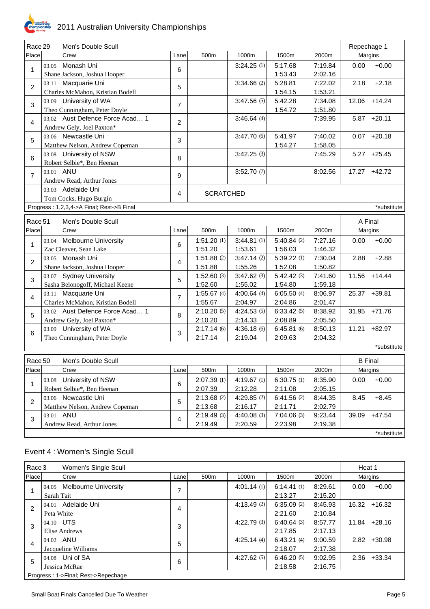

| Race 29        |                    | Men's Double Scull                        |                         |                  |             |            |         | Repechage 1    |               |
|----------------|--------------------|-------------------------------------------|-------------------------|------------------|-------------|------------|---------|----------------|---------------|
| Place          | Crew               |                                           | Lane                    | 500m             | 1000m       | 1500m      | 2000m   | Margins        |               |
|                | 03.05              | Monash Uni                                |                         |                  | 3:24.25(1)  | 5:17.68    | 7:19.84 | 0.00           | $+0.00$       |
| 1              |                    | Shane Jackson, Joshua Hooper              | 6                       |                  |             | 1:53.43    | 2:02.16 |                |               |
|                |                    | 03.11 Macquarie Uni                       |                         |                  | 3:34.66(2)  | 5:28.81    | 7:22.02 | 2.18           | $+2.18$       |
| $\overline{2}$ |                    | Charles McMahon, Kristian Bodell          | 5                       |                  |             | 1:54.15    | 1:53.21 |                |               |
|                |                    | 03.09 University of WA                    |                         |                  | 3:47.56(5)  | 5:42.28    | 7:34.08 |                | 12.06 +14.24  |
| 3              |                    | Theo Cunningham, Peter Doyle              | $\overline{7}$          |                  |             | 1:54.72    | 1:51.80 |                |               |
| 4              |                    | 03.02 Aust Defence Force Acad 1           | $\overline{c}$          |                  | 3:46.64(4)  |            | 7:39.95 |                | $5.87 +20.11$ |
|                |                    | Andrew Gely, Joel Paxton*                 |                         |                  |             |            |         |                |               |
| 5              |                    | 03.06 Newcastle Uni                       | 3                       |                  | 3:47.70(6)  | 5:41.97    | 7:40.02 |                | $0.07 +20.18$ |
|                |                    | Matthew Nelson, Andrew Copeman            |                         |                  |             | 1:54.27    | 1:58.05 |                |               |
| 6              |                    | 03.08 University of NSW                   | 8                       |                  | 3:42.25(3)  |            | 7:45.29 |                | $5.27 +25.45$ |
|                |                    | Robert Selbie*, Ben Heenan                |                         |                  |             |            |         |                |               |
| $\overline{7}$ | 03.01 ANU          |                                           | 9                       |                  | 3:52.70(7)  |            | 8:02.56 |                | 17.27 +42.72  |
|                |                    | Andrew Read, Arthur Jones                 |                         |                  |             |            |         |                |               |
|                | 03.03 Adelaide Uni |                                           | 4                       | <b>SCRATCHED</b> |             |            |         |                |               |
|                |                    | Tom Cocks, Hugo Burgin                    |                         |                  |             |            |         |                |               |
|                |                    | Progress: 1,2,3,4->A Final; Rest->B Final |                         |                  |             |            |         |                | *substitute   |
| Race 51        |                    | Men's Double Scull                        |                         |                  |             |            |         | A Final        |               |
| Place          | Crew               |                                           | Lane                    | 500m             | 1000m       | 1500m      | 2000m   | Margins        |               |
|                | 03.04              | Melbourne University                      |                         | 1:51.20(1)       | 3:44.81(1)  | 5:40.84(2) | 7:27.16 | 0.00           | $+0.00$       |
| 1              |                    | Zac Cleaver, Sean Lake                    | 6                       | 1:51.20          | 1:53.61     | 1:56.03    | 1:46.32 |                |               |
|                | 03.05 Monash Uni   |                                           |                         | 1:51.88(2)       | 3:47.14(2)  | 5:39.22(1) | 7:30.04 | 2.88           | $+2.88$       |
| $\overline{2}$ |                    | Shane Jackson, Joshua Hooper              | 4                       | 1:51.88          | 1:55.26     | 1:52.08    | 1:50.82 |                |               |
|                |                    | 03.07 Sydney University                   |                         | 1:52.60(3)       | 3:47.62(3)  | 5:42.42(3) | 7:41.60 | 11.56          | $+14.44$      |
| 3              |                    | Sasha Belonogoff, Michael Keene           | 5                       | 1:52.60          | 1:55.02     | 1:54.80    | 1:59.18 |                |               |
|                |                    | 03.11 Macquarie Uni                       |                         | 1:55.67(4)       | 4:00.64(4)  | 6:05.50(4) | 8:06.97 | 25.37          | $+39.81$      |
| $\overline{4}$ |                    | Charles McMahon, Kristian Bodell          | $\overline{7}$          | 1:55.67          | 2:04.97     | 2:04.86    | 2:01.47 |                |               |
|                |                    | 03.02 Aust Defence Force Acad 1           |                         | 2:10.20(5)       | 4:24.53(5)  | 6:33.42(5) | 8:38.92 | 31.95          | $+71.76$      |
| 5              |                    | Andrew Gely, Joel Paxton*                 | 8                       | 2:10.20          | 2:14.33     | 2:08.89    | 2:05.50 |                |               |
|                |                    | 03.09 University of WA                    |                         | 2:17.14(6)       | 4:36.18 (6) | 6:45.81(6) | 8:50.13 | 11.21          | $+82.97$      |
| 6              |                    | Theo Cunningham, Peter Doyle              | 3                       | 2:17.14          | 2:19.04     | 2:09.63    | 2:04.32 |                |               |
|                |                    |                                           |                         |                  |             |            |         |                | *substitute   |
| Race 50        |                    | Men's Double Scull                        |                         |                  |             |            |         | <b>B</b> Final |               |
| Place          | Crew               |                                           | Lane                    | 500m             | 1000m       | 1500m      | 2000m   | Margins        |               |
|                |                    | 03.08 University of NSW                   |                         | 2:07.39(1)       | 4:19.67(1)  | 6:30.75(1) | 8:35.90 | 0.00           | $+0.00$       |
| 1              |                    | Robert Selbie*, Ben Heenan                | 6                       | 2:07.39          | 2:12.28     | 2:11.08    | 2:05.15 |                |               |
|                |                    | 03.06 Newcastle Uni                       |                         | 2:13.68(2)       | 4:29.85 (2) | 6:41.56(2) | 8:44.35 | 8.45           | $+8.45$       |
| $\overline{2}$ |                    | Matthew Nelson, Andrew Copeman            | 5                       | 2:13.68          | 2:16.17     | 2:11.71    | 2:02.79 |                |               |
|                | 03.01 ANU          |                                           |                         | 2:19.49(3)       | 4:40.08 (3) | 7:04.06(3) | 9:23.44 | 39.09          | $+47.54$      |
| 3              |                    | Andrew Read, Arthur Jones                 | $\overline{\mathbf{4}}$ | 2:19.49          | 2:20.59     | 2:23.98    | 2:19.38 |                |               |

Event 4 : Women's Single Scull

| Race 3         | Women's Single Scull                 |      |      |               |               |         | Heat 1  |          |
|----------------|--------------------------------------|------|------|---------------|---------------|---------|---------|----------|
| Place          | Crew                                 | Lane | 500m | 1000m         | 1500m         | 2000m   | Margins |          |
|                | <b>Melbourne University</b><br>04.05 | 7    |      | 4:01.14(1)    | 6:14.41(1)    | 8:29.61 | 0.00    | $+0.00$  |
|                | Sarah Tait                           |      |      |               | 2:13.27       | 2:15.20 |         |          |
| $\overline{2}$ | Adelaide Uni<br>04.01                |      |      | 4:13.49(2)    | 6:35.09(2)    | 8:45.93 | 16.32   | $+16.32$ |
|                | Peta White                           | 4    |      |               | 2:21.60       | 2:10.84 |         |          |
| 3              | 04.10 UTS                            | 3    |      | 4:22.79 $(3)$ | 6:40.64 $(3)$ | 8:57.77 | 11.84   | $+28.16$ |
|                | Elise Andrews                        |      |      |               | 2:17.85       | 2:17.13 |         |          |
| 4              | 04.02 ANU                            | 5    |      | 4:25.14(4)    | 6:43.21(4)    | 9:00.59 | 2.82    | $+30.98$ |
|                | Jacqueline Williams                  |      |      |               | 2:18.07       | 2:17.38 |         |          |
| 5              | 04.08 Uni of SA                      | 6    |      | 4:27.62(5)    | 6:46.20(5)    | 9:02.95 | 2.36    | $+33.34$ |
|                | Jessica McRae                        |      |      |               | 2:18.58       | 2:16.75 |         |          |
|                | Progress: 1->Final; Rest->Repechage  |      |      |               |               |         |         |          |

\*substitute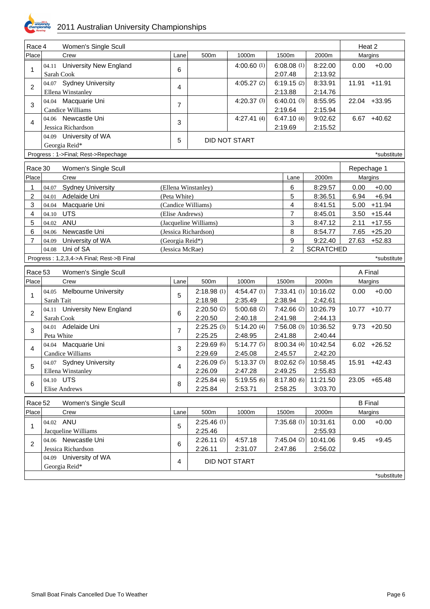

| Race 4         |            | Women's Single Scull                      |                    |                       |               |                       |                  | Heat 2      |                |
|----------------|------------|-------------------------------------------|--------------------|-----------------------|---------------|-----------------------|------------------|-------------|----------------|
| Place          |            | Crew                                      | Lane               | 500m                  | 1000m         | 1500m                 | 2000m            |             | Margins        |
|                |            | 04.11 University New England              | 6                  |                       | 4:00.60(1)    | 6:08.08(1)            | 8:22.00          | 0.00        | $+0.00$        |
|                | Sarah Cook |                                           |                    |                       |               | 2:07.48               | 2:13.92          |             |                |
| $\overline{2}$ |            | 04.07 Sydney University                   | $\overline{4}$     |                       | $4:05.27$ (2) | 6:19.15(2)            | 8:33.91          | 11.91       | $+11.91$       |
|                |            | Ellena Winstanley                         |                    |                       |               | 2:13.88               | 2:14.76          |             |                |
| 3              |            | 04.04 Macquarie Uni                       | $\overline{7}$     |                       | 4:20.37(3)    | 6:40.01(3)            | 8:55.95          |             | 22.04 +33.95   |
|                |            | Candice Williams                          |                    |                       |               | 2:19.64               | 2:15.94          |             |                |
| 4              |            | 04.06 Newcastle Uni                       | 3                  |                       | 4:27.41(4)    | 6:47.10(4)            | 9:02.62          |             | $6.67 + 40.62$ |
|                |            | Jessica Richardson                        |                    |                       |               | 2:19.69               | 2:15.52          |             |                |
|                |            | 04.09 University of WA                    | 5                  |                       | DID NOT START |                       |                  |             |                |
|                |            | Georgia Reid*                             |                    |                       |               |                       |                  |             |                |
|                |            | Progress: 1->Final; Rest->Repechage       |                    |                       |               |                       |                  |             | *substitute    |
| Race 30        |            | Women's Single Scull                      |                    |                       |               |                       |                  | Repechage 1 |                |
| Place          |            | Crew                                      |                    |                       |               | Lane                  | 2000m            | Margins     |                |
| 1              | 04.07      | <b>Sydney University</b>                  |                    | (Ellena Winstanley)   |               | 6                     | 8:29.57          | 0.00        | $+0.00$        |
| $\overline{c}$ | 04.01      | Adelaide Uni                              | (Peta White)       |                       |               | 5                     | 8:36.51          | 6.94        | $+6.94$        |
| 3              | 04.04      | Macquarie Uni                             | (Candice Williams) |                       |               | 4                     | 8:41.51          | 5.00        | $+11.94$       |
| 4              | 04.10      | <b>UTS</b>                                | (Elise Andrews)    |                       |               | $\overline{7}$        | 8:45.01          | 3.50        | $+15.44$       |
| 5              | 04.02      | <b>ANU</b>                                |                    | (Jacqueline Williams) |               | 3                     | 8:47.12          | 2.11        | $+17.55$       |
| 6              | 04.06      | Newcastle Uni                             |                    | (Jessica Richardson)  |               | 8                     | 8:54.77          | 7.65        | $+25.20$       |
| $\overline{7}$ | 04.09      | University of WA                          | (Georgia Reid*)    |                       |               | 9                     | 9:22.40          | 27.63       | $+52.83$       |
|                | 04.08      | Uni of SA                                 | (Jessica McRae)    |                       |               | $\overline{2}$        | <b>SCRATCHED</b> |             |                |
|                |            | Progress: 1,2,3,4->A Final; Rest->B Final |                    |                       |               |                       |                  |             | *substitute    |
|                |            |                                           |                    |                       |               |                       |                  |             |                |
|                |            |                                           |                    |                       |               |                       |                  |             |                |
| Race 53        |            | Women's Single Scull                      |                    |                       |               |                       |                  | A Final     |                |
| Place          |            | Crew                                      | Lane               | 500m                  | 1000m         | 1500m                 | 2000m            |             | Margins        |
| 1              |            | 04.05 Melbourne University                | 5                  | 2:18.98(1)            | 4:54.47(1)    | 7:33.41(1)            | 10:16.02         | 0.00        | $+0.00$        |
|                | Sarah Tait |                                           |                    | 2:18.98               | 2:35.49       | 2:38.94               | 2:42.61          |             |                |
| $\overline{2}$ |            | 04.11 University New England              | 6                  | 2:20.50(2)            | $5:00.68$ (2) | 7:42.66(2)            | 10:26.79         |             | 10.77 +10.77   |
|                | Sarah Cook |                                           |                    | 2:20.50               | 2:40.18       | 2:41.98               | 2:44.13          |             |                |
| 3              |            | 04.01 Adelaide Uni                        | $\overline{7}$     | 2:25.25(3)            | 5:14.20(4)    | 7:56.08(3)            | 10:36.52         |             | $9.73 + 20.50$ |
|                | Peta White |                                           |                    | 2:25.25               | 2:48.95       | 2:41.88               | 2:40.44          |             |                |
| 4              |            | 04.04 Macquarie Uni                       | 3                  | 2:29.69 (6)           | 5:14.77(5)    | 8:00.34 (4)           | 10:42.54         |             | $6.02 +26.52$  |
|                |            | Candice Williams                          |                    | 2:29.69               | 2:45.08       | 2:45.57               | 2:42.20          |             |                |
| 5              |            | 04.07 Sydney University                   | 4                  | 2:26.09(5)            | 5:13.37 $(3)$ | $8:02.62(5)$ 10:58.45 |                  |             | 15.91 +42.43   |
|                |            | Ellena Winstanley                         |                    | 2:26.09               | 2:47.28       | 2:49.25               | 2:55.83          |             |                |
| 6              | 04.10 UTS  |                                           | 8                  | 2:25.84(4)            | 5:19.55 (6)   | 8:17.80 (6)           | 11:21.50         |             | 23.05 +65.48   |
|                |            | Elise Andrews                             |                    | 2:25.84               | 2:53.71       | 2:58.25               | 3:03.70          |             |                |
| Race 52        |            | Women's Single Scull                      |                    |                       |               |                       |                  |             | <b>B</b> Final |
| Place          |            | Crew                                      | Lane               | 500m                  | 1000m         | 1500m                 | 2000m            |             | Margins        |
|                |            | 04.02 ANU                                 |                    | 2:25.46(1)            |               | 7:35.68(1)            | 10:31.61         | 0.00        | $+0.00$        |
| 1              |            | Jacqueline Williams                       | 5                  | 2:25.46               |               |                       | 2:55.93          |             |                |
|                |            | 04.06 Newcastle Uni                       |                    | 2:26.11(2)            | 4:57.18       | 7:45.04(2)            | 10:41.06         | 9.45        | $+9.45$        |
| $\overline{2}$ |            | Jessica Richardson                        | 6                  | 2:26.11               | 2:31.07       | 2:47.86               | 2:56.02          |             |                |
|                |            | 04.09 University of WA                    |                    |                       |               |                       |                  |             |                |
|                |            | Georgia Reid*                             | $\overline{4}$     |                       | DID NOT START |                       |                  |             |                |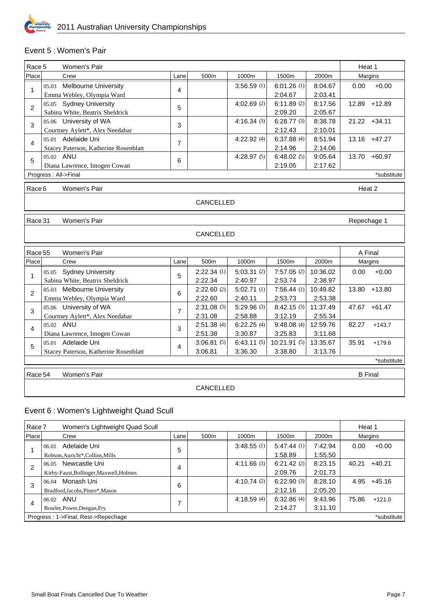

#### Event 5 : Women's Pair

| Race 5         | Women's Pair                          |                |                  |             |             |          | Heat 1      |                 |
|----------------|---------------------------------------|----------------|------------------|-------------|-------------|----------|-------------|-----------------|
| Place          | Crew                                  | Lane           | 500m             | 1000m       | 1500m       | 2000m    |             | Margins         |
| $\mathbf{1}$   | <b>Melbourne University</b><br>05.03  | $\overline{4}$ |                  | 3:56.59(1)  | 6:01.26(1)  | 8:04.67  | 0.00        | $+0.00$         |
|                | Emma Webley, Olympia Ward             |                |                  |             | 2:04.67     | 2:03.41  |             |                 |
| $\overline{2}$ | 05.05 Sydney University               | 5              |                  | 4:02.69(2)  | 6:11.89(2)  | 8:17.56  | 12.89       | $+12.89$        |
|                | Sabina White, Beatrix Sheldrick       |                |                  |             | 2:09.20     | 2:05.67  |             |                 |
| 3              | 05.06 University of WA                | 3              |                  | 4:16.34(3)  | 6:28.77(3)  | 8:38.78  |             | $21.22 + 34.11$ |
|                | Courtney Aylett*, Alex Needabar       |                |                  |             | 2:12.43     | 2:10.01  |             |                 |
| 4              | 05.01 Adelaide Uni                    | $\overline{7}$ |                  | 4:22.92 (4) | 6:37.88(4)  | 8:51.94  |             | 13.16 +47.27    |
|                | Stacey Paterson, Katherine Rosenblatt |                |                  |             | 2:14.96     | 2:14.06  |             |                 |
| 5              | 05.02 ANU                             | 6              |                  | 4:28.97(5)  | 6:48.02(5)  | 9:05.64  |             | 13.70 +60.97    |
|                | Diana Lawrence, Imogen Cowan          |                |                  |             | 2:19.05     | 2:17.62  |             |                 |
|                | Progress: All->Final                  |                |                  |             |             |          |             | *substitute     |
| Race 6         | Women's Pair                          |                |                  |             |             |          |             | Heat 2          |
|                |                                       |                | <b>CANCELLED</b> |             |             |          |             |                 |
|                |                                       |                |                  |             |             |          |             |                 |
| Race 31        | Women's Pair                          |                |                  |             |             |          | Repechage 1 |                 |
|                |                                       |                | CANCELLED        |             |             |          |             |                 |
|                |                                       |                |                  |             |             |          |             |                 |
| Race 55        | Women's Pair                          |                |                  |             |             |          |             | A Final         |
| Place          | Crew                                  | Lane           | 500m             | 1000m       | 1500m       | 2000m    |             | Margins         |
|                | 05.05 Sydney University               |                | 2:22.34(1)       | 5:03.31(2)  | 7:57.05(2)  | 10:36.02 | 0.00        | $+0.00$         |
| $\mathbf{1}$   | Sabina White, Beatrix Sheldrick       | 5              | 2:22.34          | 2:40.97     | 2:53.74     | 2:38.97  |             |                 |
| $\overline{2}$ | 05.03 Melbourne University            |                | 2:22.60(2)       | 5:02.71(1)  | 7:56.44(1)  | 10:49.82 | 13.80       | $+13.80$        |
|                | Emma Webley, Olympia Ward             | 6              | 2:22.60          | 2:40.11     | 2:53.73     | 2:53.38  |             |                 |
| 3              | 05.06 University of WA                | $\overline{7}$ | 2:31.08(3)       | 5:29.96(3)  | 8:42.15(3)  | 11:37.49 | 47.67       | $+61.47$        |
|                | Courtney Aylett*, Alex Needabar       |                | 2:31.08          | 2:58.88     | 3:12.19     | 2:55.34  |             |                 |
| 4              | 05.02 ANU                             |                | 2:51.38(4)       | 6:22.25(4)  | 9:48.08(4)  | 12:59.76 | 82.27       | $+143.7$        |
|                | Diana Lawrence, Imogen Cowan          | 3              | 2:51.38          | 3:30.87     | 3:25.83     | 3:11.68  |             |                 |
| 5              | 05.01 Adelaide Uni                    | $\overline{4}$ | 3:06.81(5)       | 6:43.11(5)  | 10:21.91(5) | 13:35.67 | 35.91       | $+179.6$        |
|                | Stacey Paterson, Katherine Rosenblatt |                | 3:06.81          | 3:36.30     | 3:38.80     | 3:13.76  |             |                 |
|                |                                       |                |                  |             |             |          |             | *substitute     |
| Race 54        | Women's Pair                          |                |                  |             |             |          |             | <b>B</b> Final  |

#### CANCELLED

# Event 6 : Women's Lightweight Quad Scull

| l Race 7     | Women's Lightweight Quad Scull          |      |                  |            |            |         | Heat 1 |             |
|--------------|-----------------------------------------|------|------------------|------------|------------|---------|--------|-------------|
| <b>Place</b> | Crew                                    | Lane | 500 <sub>m</sub> | 1000m      | 1500m      | 2000m   |        | Margins     |
|              | Adelaide Uni<br>06.01                   | 5    |                  | 3:48.55(1) | 5:47.44(1) | 7:42.94 | 0.00   | $+0.00$     |
|              | Robson.Auricht*.Collins.Mills           |      |                  |            | 1:58.89    | 1:55.50 |        |             |
| 2            | Newcastle Uni<br>06.05                  | 4    |                  | 4:11.66(3) | 6:21.42(2) | 8:23.15 | 40.21  | $+40.21$    |
|              | Kirby-Faust, Bollinger, Maxwell, Holmes |      |                  |            | 2:09.76    | 2:01.73 |        |             |
| 3            | Monash Uni<br>06.04                     | 6    |                  | 4:10.74(2) | 6:22.90(3) | 8:28.10 | 4.95   | $+45.16$    |
|              | Bradford.Jacobs.Pineo*.Mason            |      |                  |            | 2:12.16    | 2:05.20 |        |             |
| 4            | ANU<br>06.02                            | ⇁    |                  | 4:18.59(4) | 6:32.86(4) | 9:43.96 | 75.86  | $+121.0$    |
|              | Bowler, Power, Deegan, Fry              |      |                  |            | 2:14.27    | 3:11.10 |        |             |
|              | Progress: 1->Final; Rest->Repechage     |      |                  |            |            |         |        | *substitute |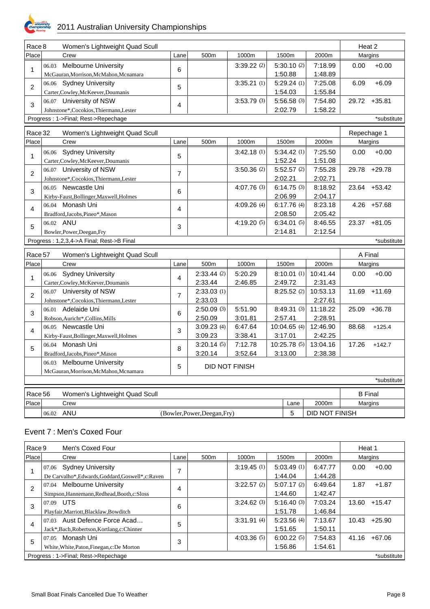

# 2011 Australian University Championships

| Race 8         | Women's Lightweight Quad Scull            |                |            |                       |               |          |       | Heat 2         |
|----------------|-------------------------------------------|----------------|------------|-----------------------|---------------|----------|-------|----------------|
| Place          | Crew                                      | Lane           | 500m       | 1000m                 | 1500m         | 2000m    |       | Margins        |
|                | <b>Melbourne University</b><br>06.03      |                |            | 3:39.22(2)            | 5:30.10(2)    | 7:18.99  | 0.00  | $+0.00$        |
| $\mathbf{1}$   | McGauran, Morrison, McMahon, Mcnamara     | 6              |            |                       | 1:50.88       | 1:48.89  |       |                |
| $\overline{2}$ | 06.06 Sydney University                   |                |            | 3:35.21(1)            | 5:29.24(1)    | 7:25.08  | 6.09  | $+6.09$        |
|                | Carter, Cowley, McKeever, Doumanis        | 5              |            |                       | 1:54.03       | 1:55.84  |       |                |
| 3              | 06.07 University of NSW                   | $\overline{4}$ |            | 3:53.79(3)            | 5:56.58(3)    | 7:54.80  | 29.72 | $+35.81$       |
|                | Johnstone*, Cocokios, Thiermann, Lester   |                |            |                       | 2:02.79       | 1:58.22  |       |                |
|                | Progress: 1->Final; Rest->Repechage       |                |            |                       |               |          |       | *substitute    |
| Race 32        | Women's Lightweight Quad Scull            |                |            |                       |               |          |       | Repechage 1    |
| Place          | Crew                                      | Lane           | 500m       | 1000m                 | 1500m         | 2000m    |       | Margins        |
|                | <b>Sydney University</b><br>06.06         |                |            | 3:42.18(1)            | 5:34.42(1)    | 7:25.50  | 0.00  | $+0.00$        |
| $\mathbf{1}$   | Carter, Cowley, McKeever, Doumanis        | 5              |            |                       | 1:52.24       | 1:51.08  |       |                |
|                | 06.07 University of NSW                   |                |            | 3:50.36(2)            | $5:52.57$ (2) | 7:55.28  | 29.78 | $+29.78$       |
| $\overline{2}$ | Johnstone*,Cocokios,Thiermann,Lester      | $\overline{7}$ |            |                       | 2:02.21       | 2:02.71  |       |                |
|                | 06.05 Newcastle Uni                       |                |            | 4:07.76(3)            | 6:14.75(3)    | 8:18.92  | 23.64 | $+53.42$       |
| 3              | Kirby-Faust, Bollinger, Maxwell, Holmes   | 6              |            |                       | 2:06.99       | 2:04.17  |       |                |
| 4              | 06.04 Monash Uni                          | 4              |            | 4:09.26 (4)           | 6:17.76(4)    | 8:23.18  | 4.26  | $+57.68$       |
|                | Bradford, Jacobs, Pineo*, Mason           |                |            |                       | 2:08.50       | 2:05.42  |       |                |
| 5              | 06.02 ANU                                 | 3              |            | 4:19.20 (5)           | 6:34.01(5)    | 8:46.55  | 23.37 | $+81.05$       |
|                | Bowler, Power, Deegan, Fry                |                |            |                       | 2:14.81       | 2:12.54  |       |                |
|                | Progress: 1,2,3,4->A Final; Rest->B Final |                |            |                       |               |          |       | *substitute    |
| Race 57        | Women's Lightweight Quad Scull            |                |            |                       |               |          |       | A Final        |
| Place          | Crew                                      | Lane           | 500m       | 1000m                 | 1500m         | 2000m    |       | Margins        |
|                | <b>Sydney University</b><br>06.06         |                | 2:33.44(2) | 5:20.29               | 8:10.01(1)    | 10:41.44 | 0.00  | $+0.00$        |
| 1              | Carter, Cowley, McKeever, Doumanis        | $\overline{4}$ | 2:33.44    | 2:46.85               | 2:49.72       | 2:31.43  |       |                |
|                | 06.07 University of NSW                   |                | 2:33.03(1) |                       | 8:25.52(2)    | 10:53.13 | 11.69 | $+11.69$       |
| $\overline{2}$ | Johnstone*,Cocokios,Thiermann,Lester      | $\overline{7}$ | 2:33.03    |                       |               | 2:27.61  |       |                |
|                | 06.01 Adelaide Uni                        |                | 2:50.09(3) | 5:51.90               | 8:49.31(3)    | 11:18.22 | 25.09 | $+36.78$       |
| 3              | Robson, Auricht*, Collins, Mills          | 6              | 2:50.09    | 3:01.81               | 2:57.41       | 2:28.91  |       |                |
| 4              | 06.05 Newcastle Uni                       | 3              | 3:09.23(4) | 6:47.64               | 10:04.65 (4)  | 12:46.90 | 88.68 | $+125.4$       |
|                | Kirby-Faust, Bollinger, Maxwell, Holmes   |                | 3:09.23    | 3:38.41               | 3:17.01       | 2:42.25  |       |                |
| 5              | 06.04 Monash Uni                          | 8              | 3:20.14(5) | 7:12.78               | 10:25.78 (5)  | 13:04.16 | 17.26 | $+142.7$       |
|                | Bradford, Jacobs, Pineo*, Mason           |                | 3:20.14    | 3:52.64               | 3:13.00       | 2:38.38  |       |                |
|                | 06.03 Melbourne University                | 5              |            | <b>DID NOT FINISH</b> |               |          |       |                |
|                | McGauran, Morrison, McMahon, Mcnamara     |                |            |                       |               |          |       |                |
|                |                                           |                |            |                       |               |          |       | *substitute    |
| Race 56        | Women's Lightweight Quad Scull            |                |            |                       |               |          |       | <b>B</b> Final |
| Place          | Crew                                      |                |            |                       | Lane          | 2000m    |       | Margins        |

#### Event 7 : Men's Coxed Four

| Race 9 | Men's Coxed Four                                   |      |      |            |            |         | Heat 1 |             |
|--------|----------------------------------------------------|------|------|------------|------------|---------|--------|-------------|
| Place  | Crew                                               | Lane | 500m | 1000m      | 1500m      | 2000m   |        | Margins     |
|        | <b>Sydney University</b><br>07.06                  | 7    |      | 3:19.45(1) | 5:03.49(1) | 6:47.77 | 0.00   | $+0.00$     |
|        | De Carvalho*, Edwards, Goddard, Goswell*, c: Raven |      |      |            | 1:44.04    | 1:44.28 |        |             |
| 2      | <b>Melbourne University</b><br>07.04               | 4    |      | 3:22.57(2) | 5:07.17(2) | 6:49.64 | 1.87   | $+1.87$     |
|        | Simpson, Hannemann, Redhead, Booth, c: Sloss       |      |      |            | 1:44.60    | 1:42.47 |        |             |
| 3      | 07.09 UTS                                          | 6    |      | 3:24.62(3) | 5:16.40(3) | 7:03.24 | 13.60  | $+15.47$    |
|        | Playfair, Marriott, Blacklaw, Bowditch             |      |      |            | 1:51.78    | 1:46.84 |        |             |
| 4      | Aust Defence Force Acad<br>07.03                   | 5    |      | 3:31.91(4) | 5:23.56(4) | 7:13.67 | 10.43  | $+25.90$    |
|        | Jack*, Bach, Robertson, Kortlang, c: Chinner       |      |      |            | 1:51.65    | 1:50.11 |        |             |
| 5      | Monash Uni<br>07.05                                | 3    |      | 4:03.36(5) | 6:00.22(5) | 7:54.83 | 41.16  | $+67.06$    |
|        | White, White, Paton, Finegan, c: De Morton         |      |      |            | 1:56.86    | 1:54.61 |        |             |
|        | Progress: 1->Final; Rest->Repechage                |      |      |            |            |         |        | *substitute |

06.02 ANU (Bowler,Power,Deegan,Fry) 5 DID NOT FINISH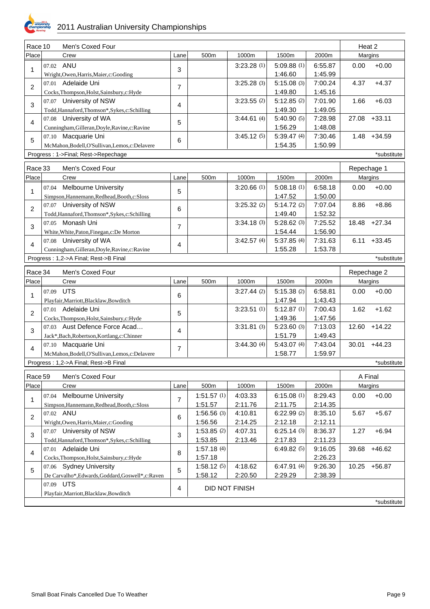

| Race 10        |           |                                                    |                |            |                |               |                    |             |                |
|----------------|-----------|----------------------------------------------------|----------------|------------|----------------|---------------|--------------------|-------------|----------------|
|                |           | Men's Coxed Four                                   |                |            |                |               |                    | Heat 2      |                |
| Place          |           | Crew                                               | Lane           | 500m       | 1000m          | 1500m         | 2000m              |             | Margins        |
| 1              | 07.02 ANU |                                                    | 3              |            | 3:23.28(1)     | 5:09.88(1)    | 6:55.87            | 0.00        | $+0.00$        |
|                |           | Wright, Owen, Harris, Maier, c: Gooding            |                |            |                | 1:46.60       | 1:45.99            |             |                |
| $\overline{a}$ |           | 07.01 Adelaide Uni                                 | 7              |            | 3:25.28(3)     | 5:15.08(3)    | 7:00.24            | 4.37        | $+4.37$        |
|                |           | Cocks, Thompson, Holst, Sainsbury, c: Hyde         |                |            |                | 1:49.80       | 1:45.16            |             |                |
| 3              |           | 07.07 University of NSW                            | 4              |            | $3:23.55$ (2)  | 5:12.85(2)    | 7:01.90            | 1.66        | $+6.03$        |
|                |           | Todd, Hannaford, Thomson*, Sykes, c: Schilling     |                |            |                | 1:49.30       | 1:49.05            |             |                |
| 4              |           | 07.08 University of WA                             | 5              |            | 3:44.61(4)     | 5:40.90(5)    | 7:28.98            |             | 27.08 +33.11   |
|                |           | Cunningham, Gilleran, Doyle, Ravine, c: Ravine     |                |            |                | 1:56.29       | 1:48.08            |             |                |
| 5              |           | 07.10 Macquarie Uni                                | 6              |            | 3:45.12(5)     | 5:39.47(4)    | 7:30.46            |             | $1.48 + 34.59$ |
|                |           | McMahon, Bodell, O'Sullivan, Lemos, c: Delavere    |                |            |                | 1:54.35       | 1:50.99            |             |                |
|                |           | Progress: 1->Final; Rest->Repechage                |                |            |                |               |                    |             | *substitute    |
| Race 33        |           | Men's Coxed Four                                   |                |            |                |               |                    | Repechage 1 |                |
| Place          |           | Crew                                               | Lane           | 500m       | 1000m          | 1500m         | 2000m              |             | Margins        |
|                |           |                                                    |                |            |                |               |                    |             |                |
| 1              |           | 07.04 Melbourne University                         | 5              |            | 3:20.66(1)     | 5:08.18(1)    | 6:58.18            | 0.00        | $+0.00$        |
|                |           | Simpson, Hannemann, Redhead, Booth, c: Sloss       |                |            |                | 1:47.52       | 1:50.00<br>7:07.04 |             |                |
| $\overline{c}$ |           | 07.07 University of NSW                            | 6              |            | 3:25.32(2)     | 5:14.72 $(2)$ |                    | 8.86        | $+8.86$        |
|                |           | Todd, Hannaford, Thomson*, Sykes, c: Schilling     |                |            |                | 1:49.40       | 1:52.32            |             |                |
| 3              |           | 07.05 Monash Uni                                   | $\overline{7}$ |            | 3:34.18(3)     | 5:28.62(3)    | 7:25.52            |             | 18.48 +27.34   |
|                |           | White, White, Paton, Finegan, c: De Morton         |                |            |                | 1:54.44       | 1:56.90            |             |                |
| 4              |           | 07.08 University of WA                             | 4              |            | 3:42.57(4)     | 5:37.85(4)    | 7:31.63            |             | $6.11 + 33.45$ |
|                |           | Cunningham, Gilleran, Doyle, Ravine, c: Ravine     |                |            |                | 1:55.28       | 1:53.78            |             |                |
|                |           | Progress: 1,2->A Final; Rest->B Final              |                |            |                |               |                    |             | *substitute    |
| Race 34        |           | Men's Coxed Four                                   |                |            |                |               |                    | Repechage 2 |                |
| Place          |           | Crew                                               | Lane           | 500m       | 1000m          | 1500m         | 2000m              |             | Margins        |
|                | 07.09 UTS |                                                    |                |            | 3:27.44(2)     | 5:15.38(2)    | 6:58.81            | 0.00        | $+0.00$        |
| 1              |           | Playfair, Marriott, Blacklaw, Bowditch             | 6              |            |                | 1:47.94       | 1:43.43            |             |                |
|                |           | 07.01 Adelaide Uni                                 |                |            | 3:23.51(1)     | 5:12.87(1)    | 7:00.43            | 1.62        | $+1.62$        |
| $\overline{2}$ |           | Cocks, Thompson, Holst, Sainsbury, c: Hyde         | 5              |            |                | 1:49.36       | 1:47.56            |             |                |
|                |           | 07.03 Aust Defence Force Acad                      |                |            | 3:31.81(3)     | 5:23.60(3)    | 7:13.03            |             | 12.60 +14.22   |
| 3              |           | Jack*, Bach, Robertson, Kortlang, c: Chinner       | 4              |            |                | 1:51.79       | 1:49.43            |             |                |
|                |           | 07.10 Macquarie Uni                                |                |            | 3:44.30(4)     | 5:43.07(4)    | 7:43.04            |             | $30.01 +44.23$ |
| 4              |           | McMahon, Bodell, O'Sullivan, Lemos, c: Delavere    | $\overline{7}$ |            |                | 1:58.77       | 1:59.97            |             |                |
|                |           | Progress: 1,2->A Final; Rest->B Final              |                |            |                |               |                    |             | *substitute    |
|                |           |                                                    |                |            |                |               |                    |             |                |
| Race 59        |           | Men's Coxed Four                                   |                |            |                |               |                    | A Final     |                |
| Place          |           | Crew                                               | Lane           | 500m       | 1000m          | 1500m         | 2000m              |             | Margins        |
| 1              | 07.04     | <b>Melbourne University</b>                        | $\overline{7}$ | 1:51.57(1) | 4:03.33        | 6:15.08(1)    | 8:29.43            | 0.00        | $+0.00$        |
|                |           | Simpson, Hannemann, Redhead, Booth, c: Sloss       |                | 1:51.57    | 2:11.76        | 2:11.75       | 2:14.35            |             |                |
| $\overline{2}$ | 07.02 ANU |                                                    | 6              | 1:56.56(3) | 4:10.81        | 6:22.99(2)    | 8:35.10            | 5.67        | $+5.67$        |
|                |           | Wright, Owen, Harris, Maier, c: Gooding            |                | 1:56.56    | 2:14.25        | 2:12.18       | 2:12.11            |             |                |
| 3              |           | 07.07 University of NSW                            | 3              | 1:53.85(2) | 4:07.31        | 6:25.14(3)    | 8:36.37            | 1.27        | $+6.94$        |
|                |           | Todd, Hannaford, Thomson*, Sykes, c: Schilling     |                | 1:53.85    | 2:13.46        | 2:17.83       | 2:11.23            |             |                |
| 4              |           | 07.01 Adelaide Uni                                 | 8              | 1:57.18(4) |                | 6:49.82(5)    | 9:16.05            | 39.68       | $+46.62$       |
|                |           | Cocks, Thompson, Holst, Sainsbury, c: Hyde         |                | 1:57.18    |                |               | 2:26.23            |             |                |
| 5              |           | 07.06 Sydney University                            | 5              | 1:58.12(5) | 4:18.62        | 6:47.91(4)    | 9:26.30            |             | 10.25 +56.87   |
|                |           | De Carvalho*, Edwards, Goddard, Goswell*, c: Raven |                | 1:58.12    | 2:20.50        | 2:29.29       | 2:38.39            |             |                |
|                | 07.09 UTS |                                                    | $\overline{4}$ |            | DID NOT FINISH |               |                    |             |                |
|                |           | Playfair, Marriott, Blacklaw, Bowditch             |                |            |                |               |                    |             |                |
|                |           |                                                    |                |            |                |               |                    |             | *substitute    |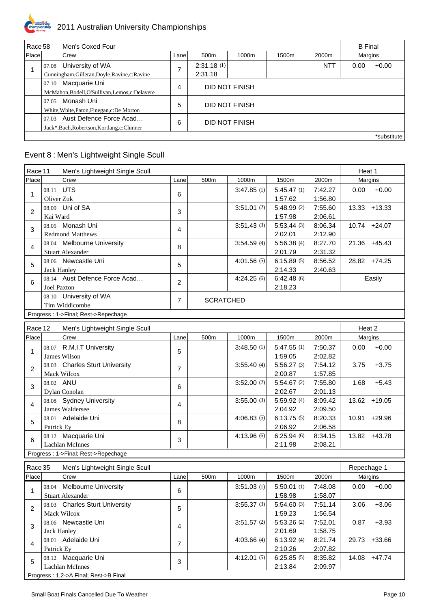

|       | Men's Coxed Four<br>Race 58                    |  |      |                  |                | <b>B</b> Final |            |         |             |
|-------|------------------------------------------------|--|------|------------------|----------------|----------------|------------|---------|-------------|
| Place | Crew                                           |  | Lane | 500 <sub>m</sub> | 1000m          | 1500m          | 2000m      | Margins |             |
|       | University of WA<br>07.08                      |  | 7    | 2:31.18(1)       |                |                | <b>NTT</b> | 0.00    | $+0.00$     |
|       | Cunningham, Gilleran, Doyle, Ravine, c: Ravine |  |      | 2:31.18          |                |                |            |         |             |
|       | Macquarie Uni<br>07.10                         |  |      |                  | DID NOT FINISH |                |            |         |             |
|       | McMahon.Bodell.O'Sullivan.Lemos.c:Delavere     |  | 4    |                  |                |                |            |         |             |
|       | Monash Uni<br>07.05                            |  | 5    |                  | DID NOT FINISH |                |            |         |             |
|       | White, White, Paton, Finegan, c: De Morton     |  |      |                  |                |                |            |         |             |
|       | Aust Defence Force Acad<br>07.03               |  | 6    |                  | DID NOT FINISH |                |            |         |             |
|       | Jack*, Bach, Robertson, Kortlang, c: Chinner   |  |      |                  |                |                |            |         |             |
|       |                                                |  |      |                  |                |                |            |         | *substitute |

### Event 8 : Men's Lightweight Single Scull

|                | Race 11<br>Men's Lightweight Single Scull |                |                  |               |            |         |             |              |
|----------------|-------------------------------------------|----------------|------------------|---------------|------------|---------|-------------|--------------|
| Place          | Crew                                      | Lane           | 500m             | 1000m         | 1500m      | 2000m   | Margins     |              |
| 1              | 08.11 UTS                                 | 6              |                  | 3:47.85(1)    | 5:45.47(1) | 7:42.27 | 0.00        | $+0.00$      |
|                | Oliver Zuk                                |                |                  |               | 1:57.62    | 1:56.80 |             |              |
| $\overline{2}$ | 08.09 Uni of SA                           | 3              |                  | 3:51.01(2)    | 5:48.99(2) | 7:55.60 |             | 13.33 +13.33 |
|                | Kai Ward                                  |                |                  |               | 1:57.98    | 2:06.61 |             |              |
| 3              | 08.05 Monash Uni                          | 4              |                  | 3:51.43(3)    | 5:53.44(3) | 8:06.34 |             | 10.74 +24.07 |
|                | <b>Redmond Matthews</b>                   |                |                  |               | 2:02.01    | 2:12.90 |             |              |
| 4              | 08.04 Melbourne University                | 8              |                  | 3:54.59(4)    | 5:56.38(4) | 8:27.70 |             | 21.36 +45.43 |
|                | <b>Stuart Alexander</b>                   |                |                  |               | 2:01.79    | 2:31.32 |             |              |
| 5              | 08.06 Newcastle Uni                       | 5              |                  | 4:01.56(5)    | 6:15.89(5) | 8:56.52 |             | 28.82 +74.25 |
|                | <b>Jack Hanley</b>                        |                |                  |               | 2:14.33    | 2:40.63 |             |              |
| 6              | 08.14 Aust Defence Force Acad             | $\overline{2}$ |                  | 4:24.25(6)    | 6:42.48(6) |         |             | Easily       |
|                | <b>Joel Paxton</b>                        |                |                  |               | 2:18.23    |         |             |              |
|                | 08.10 University of WA                    | $\overline{7}$ | <b>SCRATCHED</b> |               |            |         |             |              |
|                | Tim Widdicombe                            |                |                  |               |            |         |             |              |
|                | Progress: 1->Final; Rest->Repechage       |                |                  |               |            |         |             |              |
| Race 12        | Men's Lightweight Single Scull            |                |                  |               |            |         | Heat 2      |              |
| Place          | Crew                                      | Lane           | 500m             | 1000m         | 1500m      | 2000m   | Margins     |              |
|                | 08.07 R.M.I.T University                  |                |                  | 3:48.50(1)    | 5:47.55(1) | 7:50.37 | 0.00        | $+0.00$      |
| $\mathbf{1}$   | James Wilson                              | 5              |                  |               | 1:59.05    | 2:02.82 |             |              |
|                | 08.03 Charles Sturt University            |                |                  | 3:55.40(4)    | 5:56.27(3) | 7:54.12 | 3.75        | $+3.75$      |
| $\overline{2}$ | Mack Wilcox                               | $\overline{7}$ |                  |               | 2:00.87    | 1:57.85 |             |              |
|                | 08.02 ANU                                 |                |                  | 3:52.00(2)    | 5:54.67(2) | 7:55.80 | 1.68        | $+5.43$      |
| 3              | Dylan Conolan                             | 6              |                  |               | 2:02.67    | 2:01.13 |             |              |
|                | 08.08 Sydney University                   |                |                  | 3:55.00(3)    | 5:59.92(4) | 8:09.42 |             | 13.62 +19.05 |
| 4              | James Waldersee                           | 4              |                  |               | 2:04.92    | 2:09.50 |             |              |
|                | 08.01 Adelaide Uni                        |                |                  | 4:06.83(5)    | 6:13.75(5) | 8:20.33 |             | 10.91 +29.96 |
| 5              | Patrick Ey                                | 8              |                  |               | 2:06.92    | 2:06.58 |             |              |
|                | 08.12 Macquarie Uni                       |                |                  | 4:13.96 (6)   | 6:25.94(6) | 8:34.15 |             | 13.82 +43.78 |
| 6              | Lachlan McInnes                           | 3              |                  |               | 2:11.98    | 2:08.21 |             |              |
|                | Progress: 1->Final; Rest->Repechage       |                |                  |               |            |         |             |              |
|                |                                           |                |                  |               |            |         |             |              |
| Race 35        | Men's Lightweight Single Scull            |                |                  |               |            |         | Repechage 1 |              |
| Place          | Crew                                      | Lane           | 500m             | 1000m         | 1500m      | 2000m   | Margins     |              |
| 1              | <b>Melbourne University</b><br>08.04      | 6              |                  | 3:51.03(1)    | 5:50.01(1) | 7:48.08 | 0.00        | $+0.00$      |
|                | <b>Stuart Alexander</b>                   |                |                  |               | 1:58.98    | 1:58.07 |             |              |
| $\overline{c}$ | 08.03 Charles Sturt University            | 5              |                  | 3:55.37(3)    | 5:54.60(3) | 7:51.14 | 3.06        | $+3.06$      |
|                | Mack Wilcox                               |                |                  |               | 1:59.23    | 1:56.54 |             |              |
| 3              | 08.06 Newcastle Uni                       | 4              |                  | $3:51.57$ (2) | 5:53.26(2) | 7:52.01 | 0.87        | $+3.93$      |
|                | <b>Jack Hanley</b>                        |                |                  |               | 2:01.69    | 1:58.75 |             |              |
| 4              | 08.01 Adelaide Uni                        | $\overline{7}$ |                  | 4:03.66(4)    | 6:13.92(4) | 8:21.74 | 29.73       | $+33.66$     |
|                | Patrick Ey                                |                |                  |               | 2:10.26    | 2:07.82 |             |              |
| 5              | 08.12 Macquarie Uni                       | 3              |                  | 4:12.01(5)    | 6:25.85(5) | 8:35.82 |             | 14.08 +47.74 |
|                | Lachlan McInnes                           |                |                  |               | 2:13.84    | 2:09.97 |             |              |
|                | Progress: 1,2->A Final; Rest->B Final     |                |                  |               |            |         |             |              |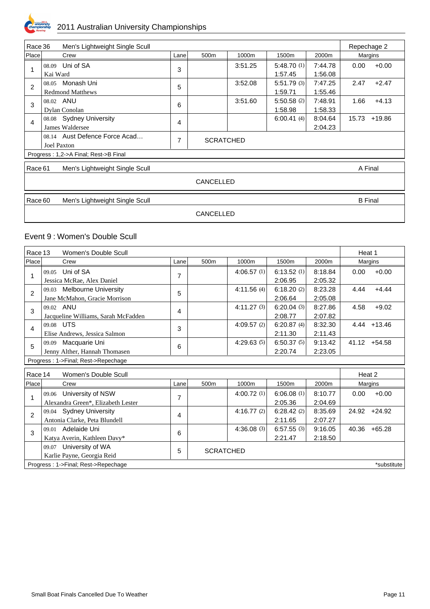

| Race 36        |                    | Men's Lightweight Single Scull        |      |                  |         |            |         | Repechage 2    |          |
|----------------|--------------------|---------------------------------------|------|------------------|---------|------------|---------|----------------|----------|
| Place          |                    | Crew                                  | Lane | 500m             | 1000m   | 1500m      | 2000m   |                | Margins  |
| 1              |                    | 08.09 Uni of SA                       | 3    |                  | 3:51.25 | 5:48.70(1) | 7:44.78 | 0.00           | $+0.00$  |
|                | Kai Ward           |                                       |      |                  |         | 1:57.45    | 1:56.08 |                |          |
| $\overline{2}$ | 08.05              | Monash Uni                            | 5    |                  | 3:52.08 | 5:51.79(3) | 7:47.25 | 2.47           | $+2.47$  |
|                |                    | <b>Redmond Matthews</b>               |      |                  |         | 1:59.71    | 1:55.46 |                |          |
| 3              | 08.02 ANU          |                                       | 6    |                  | 3:51.60 | 5:50.58(2) | 7:48.91 | 1.66           | $+4.13$  |
|                |                    | Dylan Conolan                         |      |                  |         | 1:58.98    | 1:58.33 |                |          |
| 4              |                    | 08.08 Sydney University               | 4    |                  |         | 6:00.41(4) | 8:04.64 | 15.73          | $+19.86$ |
|                |                    | James Waldersee                       |      |                  |         |            | 2:04.23 |                |          |
|                |                    | 08.14 Aust Defence Force Acad         | 7    | <b>SCRATCHED</b> |         |            |         |                |          |
|                | <b>Joel Paxton</b> |                                       |      |                  |         |            |         |                |          |
|                |                    | Progress: 1,2->A Final; Rest->B Final |      |                  |         |            |         |                |          |
| Race 61        |                    | Men's Lightweight Single Scull        |      |                  |         |            |         | A Final        |          |
|                |                    |                                       |      | CANCELLED        |         |            |         |                |          |
| Race 60        |                    | Men's Lightweight Single Scull        |      |                  |         |            |         | <b>B</b> Final |          |
|                |                    |                                       |      |                  |         |            |         |                |          |
|                |                    |                                       |      | <b>CANCELLED</b> |         |            |         |                |          |

#### Event 9 : Women's Double Scull

| Race 13        |           | Women's Double Scull                |      |                  |               |               |         | Heat 1  |                |
|----------------|-----------|-------------------------------------|------|------------------|---------------|---------------|---------|---------|----------------|
| Place          |           | Crew                                | Lane | 500m             | 1000m         | 1500m         | 2000m   | Margins |                |
| 1              | 09.05     | Uni of SA                           | 7    |                  | 4:06.57(1)    | 6:13.52(1)    | 8:18.84 | 0.00    | $+0.00$        |
|                |           | Jessica McRae, Alex Daniel          |      |                  |               | 2:06.95       | 2:05.32 |         |                |
| $\overline{2}$ | 09.03     | <b>Melbourne University</b>         | 5    |                  | 4:11.56(4)    | 6:18.20 $(2)$ | 8:23.28 | 4.44    | $+4.44$        |
|                |           | Jane McMahon, Gracie Morrison       |      |                  |               | 2:06.64       | 2:05.08 |         |                |
| 3              | 09.02 ANU |                                     | 4    |                  | 4:11.27(3)    | 6:20.04(3)    | 8:27.86 | 4.58    | $+9.02$        |
|                |           | Jacqueline Williams, Sarah McFadden |      |                  |               | 2:08.77       | 2:07.82 |         |                |
| 4              | 09.08 UTS |                                     | 3    |                  | 4:09.57(2)    | 6:20.87(4)    | 8:32.30 |         | $4.44 + 13.46$ |
|                |           | Elise Andrews, Jessica Salmon       |      |                  |               | 2:11.30       | 2:11.43 |         |                |
| 5              | 09.09     | Macquarie Uni                       | 6    |                  | 4:29.63(5)    | 6:50.37(5)    | 9:13.42 |         | 41.12 +54.58   |
|                |           | Jenny Alther, Hannah Thomasen       |      |                  |               | 2:20.74       | 2:23.05 |         |                |
|                |           | Progress: 1->Final; Rest->Repechage |      |                  |               |               |         |         |                |
| Race 14        |           | Women's Double Scull                |      |                  |               |               |         | Heat 2  |                |
| Place          |           | Crew                                | Lane | 500m             | 1000m         | 1500m         | 2000m   | Margins |                |
| 1              |           | 09.06 University of NSW             | 7    |                  | 4:00.72(1)    | 6:06.08(1)    | 8:10.77 | 0.00    | $+0.00$        |
|                |           | Alexandra Green*, Elizabeth Lester  |      |                  |               | 2:05.36       | 2:04.69 |         |                |
| 2              |           | 09.04 Sydney University             | 4    |                  | 4:16.77(2)    | 6:28.42(2)    | 8:35.69 |         | 24.92 +24.92   |
|                |           | Antonia Clarke, Peta Blundell       |      |                  |               | 2:11.65       | 2:07.27 |         |                |
| 3              |           | 09.01 Adelaide Uni                  | 6    |                  | 4:36.08 $(3)$ | 6:57.55(3)    | 9:16.05 |         | 40.36 +65.28   |
|                |           | Katya Averin, Kathleen Davy*        |      |                  |               | 2:21.47       | 2:18.50 |         |                |
|                |           | 09.07 University of WA              | 5    | <b>SCRATCHED</b> |               |               |         |         |                |
|                |           | Karlie Payne, Georgia Reid          |      |                  |               |               |         |         |                |
|                |           | Progress: 1->Final; Rest->Repechage |      |                  |               |               |         |         | *substitute    |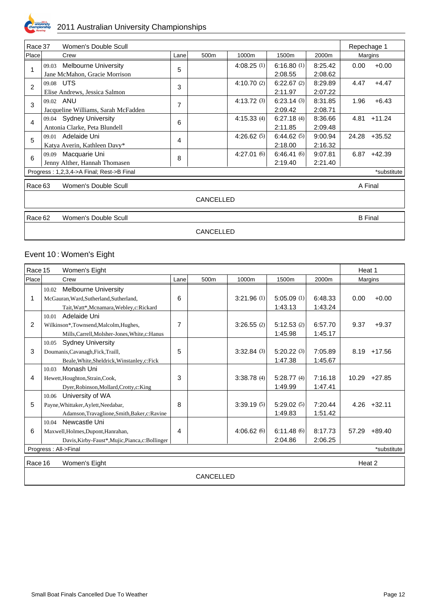

| Race 37        |                         | Women's Double Scull                      |      |           |               |               |         |       | Repechage 1    |
|----------------|-------------------------|-------------------------------------------|------|-----------|---------------|---------------|---------|-------|----------------|
| Place          | Crew                    |                                           | Lane | 500m      | 1000m         | 1500m         | 2000m   |       | Margins        |
|                | 09.03                   | <b>Melbourne University</b>               | 5    |           | 4:08.25(1)    | 6:16.80(1)    | 8:25.42 | 0.00  | $+0.00$        |
|                |                         | Jane McMahon, Gracie Morrison             |      |           |               | 2:08.55       | 2:08.62 |       |                |
| $\overline{2}$ | 09.08 UTS               |                                           | 3    |           | 4:10.70 $(2)$ | 6:22.67 $(2)$ | 8:29.89 | 4.47  | $+4.47$        |
|                |                         | Elise Andrews, Jessica Salmon             |      |           |               | 2:11.97       | 2:07.22 |       |                |
| 3              | 09.02 ANU               |                                           | 7    |           | 4:13.72 $(3)$ | 6:23.14 $(3)$ | 8:31.85 | 1.96  | $+6.43$        |
|                |                         | Jacqueline Williams, Sarah McFadden       |      |           |               | 2:09.42       | 2:08.71 |       |                |
| 4              | 09.04 Sydney University |                                           | 6    |           | 4:15.33(4)    | 6:27.18(4)    | 8:36.66 | 4.81  | $+11.24$       |
|                |                         | Antonia Clarke, Peta Blundell             |      |           |               | 2:11.85       | 2:09.48 |       |                |
| 5              | 09.01                   | Adelaide Uni                              | 4    |           | 4:26.62(5)    | 6:44.62(5)    | 9:00.94 | 24.28 | $+35.52$       |
|                |                         | Katya Averin, Kathleen Davy*              |      |           |               | 2:18.00       | 2:16.32 |       |                |
| 6              | 09.09                   | Macquarie Uni                             | 8    |           | 4:27.01(6)    | 6:46.41(6)    | 9:07.81 | 6.87  | $+42.39$       |
|                |                         | Jenny Alther, Hannah Thomasen             |      |           |               | 2:19.40       | 2:21.40 |       |                |
|                |                         | Progress: 1,2,3,4->A Final; Rest->B Final |      |           |               |               |         |       | *substitute    |
| Race 63        |                         | Women's Double Scull                      |      |           |               |               |         |       | A Final        |
|                |                         |                                           |      | CANCELLED |               |               |         |       |                |
| Race 62        |                         | Women's Double Scull                      |      |           |               |               |         |       | <b>B</b> Final |
|                |                         |                                           |      | CANCELLED |               |               |         |       |                |

# Event 10 : Women's Eight

|         | Race 15<br>Women's Eight                         |      |      |            |            |         |        |             |  |  |
|---------|--------------------------------------------------|------|------|------------|------------|---------|--------|-------------|--|--|
| Place   | Crew                                             | Lane | 500m | 1000m      | 1500m      | 2000m   |        | Margins     |  |  |
|         | <b>Melbourne University</b><br>10.02             |      |      |            |            |         |        |             |  |  |
|         | McGauran, Ward, Sutherland, Sutherland,          | 6    |      | 3:21.96(1) | 5:05.09(1) | 6:48.33 | 0.00   | $+0.00$     |  |  |
|         | Tait, Watt*, Mcnamara, Webley, c: Rickard        |      |      |            | 1:43.13    | 1:43.24 |        |             |  |  |
|         | Adelaide Uni<br>10.01                            |      |      |            |            |         |        |             |  |  |
| 2       | Wilkinson*,Townsend,Malcolm,Hughes,              | 7    |      | 3:26.55(2) | 5:12.53(2) | 6:57.70 | 9.37   | $+9.37$     |  |  |
|         | Mills, Carrell, Molsher-Jones, White, c: Hanus   |      |      |            | 1:45.98    | 1:45.17 |        |             |  |  |
|         | <b>Sydney University</b><br>10.05                |      |      |            |            |         |        |             |  |  |
| 3       | Doumanis, Cavanagh, Fick, Traill,                | 5    |      | 3:32.84(3) | 5:20.22(3) | 7:05.89 | 8.19   | $+17.56$    |  |  |
|         | Beale, White, Sheldrick, Winstanley, c: Fick     |      |      |            | 1:47.38    | 1:45.67 |        |             |  |  |
|         | Monash Uni<br>10.03                              |      |      |            |            |         |        |             |  |  |
| 4       | Hewett, Houghton, Strain, Cook,                  | 3    |      | 3:38.78(4) | 5:28.77(4) | 7:16.18 | 10.29  | $+27.85$    |  |  |
|         | Dyer, Robinson, Mollard, Crotty, c: King         |      |      |            | 1:49.99    | 1:47.41 |        |             |  |  |
|         | University of WA<br>10.06                        |      |      |            |            |         |        |             |  |  |
| 5       | Payne, Whittaker, Aylett, Needabar,              | 8    |      | 3:39.19(5) | 5:29.02(5) | 7:20.44 | 4.26   | $+32.11$    |  |  |
|         | Adamson, Travaglione, Smith, Baker, c: Ravine    |      |      |            | 1:49.83    | 1:51.42 |        |             |  |  |
|         | Newcastle Uni<br>10.04                           |      |      |            |            |         |        |             |  |  |
| 6       | Maxwell, Holmes, Dupont, Hanrahan,               | 4    |      | 4:06.62(6) | 6:11.48(6) | 8:17.73 | 57.29  | $+89.40$    |  |  |
|         | Davis, Kirby-Faust*, Mujic, Pianca, c: Bollinger |      |      |            | 2:04.86    | 2:06.25 |        |             |  |  |
|         | Progress: All->Final                             |      |      |            |            |         |        | *substitute |  |  |
| Race 16 | Women's Eight                                    |      |      |            |            |         | Heat 2 |             |  |  |
|         | CANCELLED                                        |      |      |            |            |         |        |             |  |  |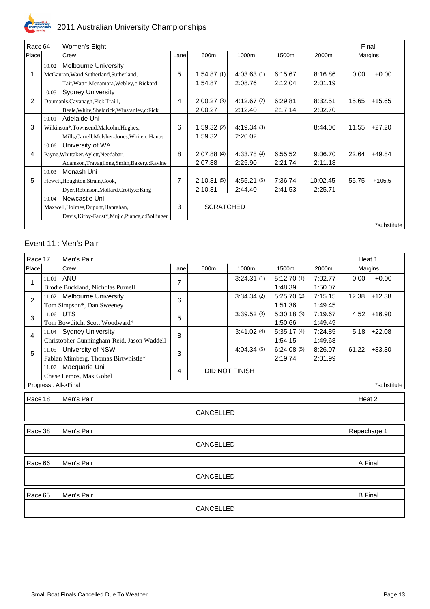

| Race 64 | Women's Eight                                    |      |                  |               |         |          | Final   |             |
|---------|--------------------------------------------------|------|------------------|---------------|---------|----------|---------|-------------|
| Place   | Crew                                             | Lane | 500m             | 1000m         | 1500m   | 2000m    | Margins |             |
|         | <b>Melbourne University</b><br>10.02             |      |                  |               |         |          |         |             |
|         | McGauran, Ward, Sutherland, Sutherland,          | 5    | 1:54.87(1)       | 4:03.63(1)    | 6:15.67 | 8:16.86  | 0.00    | $+0.00$     |
|         | Tait, Watt*, Mcnamara, Webley, c: Rickard        |      | 1:54.87          | 2:08.76       | 2:12.04 | 2:01.19  |         |             |
|         | <b>Sydney University</b><br>10.05                |      |                  |               |         |          |         |             |
| 2       | Doumanis, Cavanagh, Fick, Traill,                | 4    | 2:00.27(3)       | 4:12.67 $(2)$ | 6:29.81 | 8:32.51  | 15.65   | $+15.65$    |
|         | Beale, White, Sheldrick, Winstanley, c: Fick     |      | 2:00.27          | 2:12.40       | 2:17.14 | 2:02.70  |         |             |
|         | Adelaide Uni<br>10.01                            |      |                  |               |         |          |         |             |
| 3       | Wilkinson*,Townsend,Malcolm,Hughes,              | 6    | 1:59.32(2)       | 4:19.34(3)    |         | 8:44.06  | 11.55   | $+27.20$    |
|         | Mills, Carrell, Molsher-Jones, White, c: Hanus   |      | 1:59.32          | 2:20.02       |         |          |         |             |
|         | University of WA<br>10.06                        |      |                  |               |         |          |         |             |
| 4       | Payne, Whittaker, Aylett, Needabar,              | 8    | 2:07.88(4)       | 4:33.78(4)    | 6:55.52 | 9:06.70  | 22.64   | $+49.84$    |
|         | Adamson, Travaglione, Smith, Baker, c: Ravine    |      | 2:07.88          | 2:25.90       | 2:21.74 | 2:11.18  |         |             |
|         | Monash Uni<br>10.03                              |      |                  |               |         |          |         |             |
| 5       | Hewett, Houghton, Strain, Cook,                  | 7    | 2:10.81(5)       | 4:55.21(5)    | 7:36.74 | 10:02.45 | 55.75   | $+105.5$    |
|         | Dyer, Robinson, Mollard, Crotty, c: King         |      | 2:10.81          | 2:44.40       | 2:41.53 | 2:25.71  |         |             |
|         | Newcastle Uni<br>10.04                           |      |                  |               |         |          |         |             |
|         | Maxwell, Holmes, Dupont, Hanrahan,               | 3    | <b>SCRATCHED</b> |               |         |          |         |             |
|         | Davis, Kirby-Faust*, Mujic, Pianca, c: Bollinger |      |                  |               |         |          |         |             |
|         |                                                  |      |                  |               |         |          |         | *substitute |

#### Event 11 : Men's Pair

|                | Race 17<br>Men's Pair<br>Heat 1            |      |           |                       |            |         |                |                 |  |
|----------------|--------------------------------------------|------|-----------|-----------------------|------------|---------|----------------|-----------------|--|
| Place          | Crew                                       | Lane | 500m      | 1000m                 | 1500m      | 2000m   | Margins        |                 |  |
| $\mathbf 1$    | 11.01 ANU                                  | 7    |           | 3:24.31(1)            | 5:12.70(1) | 7:02.77 | 0.00           | $+0.00$         |  |
|                | Brodie Buckland, Nicholas Purnell          |      |           |                       | 1:48.39    | 1:50.07 |                |                 |  |
| $\overline{2}$ | 11.02 Melbourne University                 | 6    |           | 3:34.34(2)            | 5:25.70(2) | 7:15.15 |                | 12.38 +12.38    |  |
|                | Tom Simpson*, Dan Sweeney                  |      |           |                       | 1:51.36    | 1:49.45 |                |                 |  |
| 3              | 11.06 UTS                                  | 5    |           | 3:39.52(3)            | 5:30.18(3) | 7:19.67 |                | $4.52 + 16.90$  |  |
|                | Tom Bowditch, Scott Woodward*              |      |           |                       | 1:50.66    | 1:49.49 |                |                 |  |
| 4              | 11.04 Sydney University                    | 8    |           | 3:41.02(4)            | 5:35.17(4) | 7:24.85 |                | $5.18 +22.08$   |  |
|                | Christopher Cunningham-Reid, Jason Waddell |      |           |                       | 1:54.15    | 1:49.68 |                |                 |  |
| 5              | 11.05 University of NSW                    | 3    |           | 4:04.34(5)            | 6:24.08(5) | 8:26.07 |                | $61.22 + 83.30$ |  |
|                | Fabian Mimberg, Thomas Birtwhistle*        |      |           |                       | 2:19.74    | 2:01.99 |                |                 |  |
|                | Macquarie Uni<br>11.07                     | 4    |           | <b>DID NOT FINISH</b> |            |         |                |                 |  |
|                | Chase Lemos, Max Gobel                     |      |           |                       |            |         |                |                 |  |
|                | Progress: All->Final                       |      |           |                       |            |         |                | *substitute     |  |
| Race 18        | Men's Pair                                 |      |           |                       |            |         | Heat 2         |                 |  |
|                |                                            |      | CANCELLED |                       |            |         |                |                 |  |
| Race 38        | Men's Pair                                 |      |           |                       |            |         | Repechage 1    |                 |  |
|                |                                            |      | CANCELLED |                       |            |         |                |                 |  |
|                |                                            |      |           |                       |            |         |                |                 |  |
| Race 66        | Men's Pair                                 |      |           |                       |            |         | A Final        |                 |  |
|                |                                            |      | CANCELLED |                       |            |         |                |                 |  |
| Race 65        | Men's Pair                                 |      |           |                       |            |         | <b>B</b> Final |                 |  |
|                |                                            |      | CANCELLED |                       |            |         |                |                 |  |
|                |                                            |      |           |                       |            |         |                |                 |  |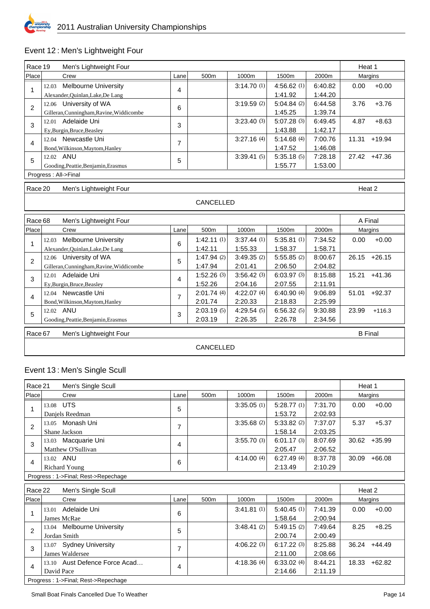

## Event 12 : Men's Lightweight Four

| Race 19        | Men's Lightweight Four                                                              |                |                                  |                                  |                                  |                               | Heat 1         |              |  |  |
|----------------|-------------------------------------------------------------------------------------|----------------|----------------------------------|----------------------------------|----------------------------------|-------------------------------|----------------|--------------|--|--|
| Place          | Crew                                                                                | Lane           | 500m                             | 1000m                            | 1500m                            | 2000m                         | Margins        |              |  |  |
| 1              | Melbourne University<br>12.03<br>Alexander, Quinlan, Lake, De Lang                  | 4              |                                  | 3:14.70(1)                       | 4:56.62(1)<br>1:41.92            | 6:40.82<br>1:44.20            | 0.00           | $+0.00$      |  |  |
| $\overline{2}$ | 12.06 University of WA<br>Gilleran, Cunningham, Ravine, Widdicombe                  | 6              |                                  | 3:19.59(2)                       | 5:04.84(2)<br>1:45.25            | 6:44.58<br>1:39.74            | 3.76           | $+3.76$      |  |  |
| 3              | 12.01 Adelaide Uni<br>Ey, Burgin, Bruce, Beasley                                    | 3              |                                  | 3:23.40(3)                       | 5:07.28(3)<br>1:43.88            | 6:49.45<br>1:42.17            | 4.87           | $+8.63$      |  |  |
| $\overline{4}$ | 12.04 Newcastle Uni<br>Bond, Wilkinson, Maytom, Hanley                              | $\overline{7}$ |                                  | 3:27.16(4)                       | 5:14.68(4)<br>1:47.52            | 7:00.76<br>1:46.08            | 11.31          | $+19.94$     |  |  |
| 5              | 12.02 ANU<br>Gooding, Peattie, Benjamin, Erasmus                                    | 5              |                                  | 3:39.41(5)                       | 5:35.18(5)<br>1:55.77            | 7:28.18<br>1:53.00            |                | 27.42 +47.36 |  |  |
|                | Progress: All->Final                                                                |                |                                  |                                  |                                  |                               |                |              |  |  |
|                | Race 20<br>Men's Lightweight Four<br>Heat 2                                         |                |                                  |                                  |                                  |                               |                |              |  |  |
|                |                                                                                     |                | CANCELLED                        |                                  |                                  |                               |                |              |  |  |
| Race 68        | Men's Lightweight Four                                                              |                |                                  |                                  |                                  |                               | A Final        |              |  |  |
| Place          | Crew                                                                                | Lane           | 500m                             | 1000m                            | 1500m                            | 2000m                         | Margins        |              |  |  |
| 1              | <b>Melbourne University</b><br>12.03<br>Alexander, Quinlan, Lake, De Lang           | 6              | 1:42.11(1)<br>1:42.11            | 3:37.44(1)<br>1:55.33            | 5:35.81(1)<br>1:58.37            | 7:34.52<br>1:58.71            | 0.00           | $+0.00$      |  |  |
| $\overline{2}$ | 12.06 University of WA<br>Gilleran, Cunningham, Ravine, Widdicombe                  | 5              | 1:47.94(2)<br>1:47.94            | 3:49.35(2)<br>2:01.41            | 5:55.85(2)<br>2:06.50            | 8:00.67<br>2:04.82            | 26.15          | $+26.15$     |  |  |
| 3              | 12.01 Adelaide Uni                                                                  | $\overline{4}$ | 1:52.26(3)                       | 3:56.42(3)                       | 6:03.97(3)                       | 8:15.88                       | 15.21          | $+41.36$     |  |  |
|                |                                                                                     |                |                                  |                                  |                                  |                               |                |              |  |  |
| $\overline{4}$ | Ey, Burgin, Bruce, Beasley<br>12.04 Newcastle Uni                                   | $\overline{7}$ | 1:52.26<br>2:01.74(4)            | 2:04.16<br>4:22.07 (4)           | 2:07.55<br>6:40.90(4)            | 2:11.91<br>9:06.89            | 51.01          | $+92.37$     |  |  |
| 5              | Bond, Wilkinson, Maytom, Hanley<br>12.02 ANU<br>Gooding, Peattie, Benjamin, Erasmus | 3              | 2:01.74<br>2:03.19(5)<br>2:03.19 | 2:20.33<br>4:29.54(5)<br>2:26.35 | 2:18.83<br>6:56.32(5)<br>2:26.78 | 2:25.99<br>9:30.88<br>2:34.56 | 23.99          | $+116.3$     |  |  |
| Race 67        | Men's Lightweight Four                                                              |                |                                  |                                  |                                  |                               | <b>B</b> Final |              |  |  |

# Event 13 : Men's Single Scull

| Race 21        | Men's Single Scull                   |                |      |            |            |         | Heat 1 |          |
|----------------|--------------------------------------|----------------|------|------------|------------|---------|--------|----------|
| Place          | Crew                                 | Lane           | 500m | 1000m      | 1500m      | 2000m   |        | Margins  |
| 1              | <b>UTS</b><br>13.08                  | 5              |      | 3:35.05(1) | 5:28.77(1) | 7:31.70 | 0.00   | $+0.00$  |
|                | Danjels Reedman                      |                |      |            | 1:53.72    | 2:02.93 |        |          |
| $\mathcal{P}$  | Monash Uni<br>13.05                  | 7              |      | 3:35.68(2) | 5:33.82(2) | 7:37.07 | 5.37   | $+5.37$  |
|                | Shane Jackson                        |                |      |            | 1:58.14    | 2:03.25 |        |          |
| 3              | Macquarie Uni<br>13.03               | 4              |      | 3:55.70(3) | 6:01.17(3) | 8:07.69 | 30.62  | $+35.99$ |
|                | Matthew O'Sullivan                   |                |      |            | 2:05.47    | 2:06.52 |        |          |
| 4              | 13.02 ANU                            | 6              |      | 4:14.00(4) | 6:27.49(4) | 8:37.78 | 30.09  | $+66.08$ |
|                | Richard Young                        |                |      |            | 2:13.49    | 2:10.29 |        |          |
|                | Progress: 1->Final; Rest->Repechage  |                |      |            |            |         |        |          |
|                |                                      |                |      |            |            |         |        |          |
|                |                                      |                |      |            |            |         |        |          |
| Race 22        | Men's Single Scull                   |                |      |            |            |         | Heat 2 |          |
| Place          | Crew                                 | Lane           | 500m | 1000m      | 1500m      | 2000m   |        | Margins  |
|                | Adelaide Uni<br>13.01                |                |      | 3:41.81(1) | 5:40.45(1) | 7:41.39 | 0.00   | $+0.00$  |
|                | James McRae                          | 6              |      |            | 1:58.64    | 2:00.94 |        |          |
|                | <b>Melbourne University</b><br>13.04 |                |      | 3:48.41(2) | 5:49.15(2) | 7:49.64 | 8.25   | $+8.25$  |
| $\overline{2}$ | Jordan Smith                         | 5              |      |            | 2:00.74    | 2:00.49 |        |          |
|                | <b>Sydney University</b><br>13.07    |                |      | 4:06.22(3) | 6:17.22(3) | 8:25.88 | 36.24  | $+44.49$ |
| 3              | James Waldersee                      | $\overline{7}$ |      |            | 2:11.00    | 2:08.66 |        |          |
|                | 13.10 Aust Defence Force Acad        |                |      | 4:18.36(4) | 6:33.02(4) | 8:44.21 | 18.33  | $+62.82$ |
| 4              | David Pace                           | 4              |      |            | 2:14.66    | 2:11.19 |        |          |

Small Boat Finals Cancelled Due To Weather **Page 14** and the Small Boat Finals Cancelled Due To Weather Page 14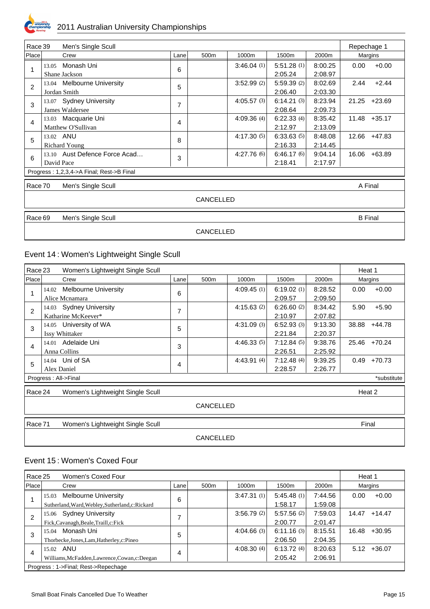

| Race 39<br>Men's Single Scull<br>Repechage 1 |            |                                           |                |                  |               |            |         |                |          |
|----------------------------------------------|------------|-------------------------------------------|----------------|------------------|---------------|------------|---------|----------------|----------|
| Place                                        |            | Crew                                      | Lane           | 500 <sub>m</sub> | 1000m         | 1500m      | 2000m   | <b>Margins</b> |          |
|                                              | 13.05      | Monash Uni                                | 6              |                  | 3:46.04(1)    | 5:51.28(1) | 8:00.25 | 0.00           | $+0.00$  |
|                                              |            | Shane Jackson                             |                |                  |               | 2:05.24    | 2:08.97 |                |          |
| $\overline{2}$                               |            | 13.04 Melbourne University                | 5              |                  | 3:52.99(2)    | 5:59.39(2) | 8:02.69 | 2.44           | $+2.44$  |
|                                              |            | Jordan Smith                              |                |                  |               | 2:06.40    | 2:03.30 |                |          |
| 3                                            |            | 13.07 Sydney University                   | $\overline{7}$ |                  | 4:05.57 $(3)$ | 6:14.21(3) | 8:23.94 | 21.25          | $+23.69$ |
|                                              |            | James Waldersee                           |                |                  |               | 2:08.64    | 2:09.73 |                |          |
| $\overline{4}$                               | 13.03      | Macquarie Uni                             | 4              |                  | 4:09.36 (4)   | 6:22.33(4) | 8:35.42 | 11.48          | $+35.17$ |
|                                              |            | Matthew O'Sullivan                        |                |                  |               | 2:12.97    | 2:13.09 |                |          |
| 5                                            |            | 13.02 ANU                                 | 8              |                  | 4:17.30 $(5)$ | 6:33.63(5) | 8:48.08 | 12.66          | $+47.83$ |
|                                              |            | <b>Richard Young</b>                      |                |                  |               | 2:16.33    | 2:14.45 |                |          |
| 6                                            |            | 13.10 Aust Defence Force Acad             | 3              |                  | 4:27.76 $(6)$ | 6:46.17(6) | 9:04.14 | 16.06          | $+63.89$ |
|                                              | David Pace |                                           |                |                  |               | 2:18.41    | 2:17.97 |                |          |
|                                              |            | Progress: 1,2,3,4->A Final; Rest->B Final |                |                  |               |            |         |                |          |
| Race 70                                      |            | Men's Single Scull                        |                |                  |               |            |         | A Final        |          |
|                                              |            |                                           |                | <b>CANCELLED</b> |               |            |         |                |          |
| Race 69                                      |            | Men's Single Scull                        |                |                  |               |            |         | <b>B</b> Final |          |
|                                              |            |                                           |                | <b>CANCELLED</b> |               |            |         |                |          |

# Event 14 : Women's Lightweight Single Scull

| Race 23          |       | Women's Lightweight Single Scull |                |                  |               |               |         | Heat 1 |             |
|------------------|-------|----------------------------------|----------------|------------------|---------------|---------------|---------|--------|-------------|
| Place            |       | Crew                             | Lane           | 500 <sub>m</sub> | 1000m         | 1500m         | 2000m   |        | Margins     |
|                  | 14.02 | <b>Melbourne University</b>      | 6              |                  | 4:09.45(1)    | 6:19.02(1)    | 8:28.52 | 0.00   | $+0.00$     |
|                  |       | Alice Mcnamara                   |                |                  |               | 2:09.57       | 2:09.50 |        |             |
| $\overline{2}$   | 14.03 | <b>Sydney University</b>         | $\overline{7}$ |                  | 4:15.63 $(2)$ | 6:26.60 $(2)$ | 8:34.42 | 5.90   | $+5.90$     |
|                  |       | Katharine McKeever*              |                |                  |               | 2:10.97       | 2:07.82 |        |             |
| 3                | 14.05 | University of WA                 | 5              |                  | 4:31.09(3)    | 6:52.93(3)    | 9:13.30 | 38.88  | $+44.78$    |
|                  |       | Issy Whittaker                   |                |                  |               | 2:21.84       | 2:20.37 |        |             |
| 4                | 14.01 | Adelaide Uni                     | 3              |                  | 4:46.33(5)    | 7:12.84(5)    | 9:38.76 | 25.46  | $+70.24$    |
|                  |       | Anna Collins                     |                |                  |               | 2:26.51       | 2:25.92 |        |             |
| 5                |       | 14.04 Uni of SA                  | 4              |                  | 4:43.91(4)    | 7:12.48(4)    | 9:39.25 | 0.49   | +70.73      |
|                  |       | Alex Daniel                      |                |                  |               | 2:28.57       | 2:26.77 |        |             |
|                  |       | Progress: All->Final             |                |                  |               |               |         |        | *substitute |
| Race 24          |       | Women's Lightweight Single Scull |                |                  |               |               |         | Heat 2 |             |
|                  |       |                                  |                | <b>CANCELLED</b> |               |               |         |        |             |
|                  |       |                                  |                |                  |               |               |         |        |             |
| Race 71          |       | Women's Lightweight Single Scull |                |                  |               |               |         |        | Final       |
| <b>CANCELLED</b> |       |                                  |                |                  |               |               |         |        |             |

#### Event 15 : Women's Coxed Four

|       | Race 25<br>Women's Coxed Four                    |   |  |            |            | Heat 1  |       |          |
|-------|--------------------------------------------------|---|--|------------|------------|---------|-------|----------|
| Place | 500m<br>1000m<br>1500m<br>2000m<br>Crew<br>Lane  |   |  |            | Margins    |         |       |          |
|       | <b>Melbourne University</b><br>15.03             | 6 |  | 3:47.31(1) | 5:45.48(1) | 7:44.56 | 0.00  | $+0.00$  |
|       | Sutherland, Ward, Webley, Sutherland, c: Rickard |   |  |            | 1:58.17    | 1:59.08 |       |          |
|       | <b>Sydney University</b><br>15.06                | ⇁ |  | 3:56.79(2) | 5:57.56(2) | 7:59.03 | 14.47 | $+14.47$ |
|       | Fick, Cavanagh, Beale, Traill, c: Fick           |   |  |            | 2:00.77    | 2:01.47 |       |          |
| 3     | Monash Uni<br>15.04                              | 5 |  | 4:04.66(3) | 6:11.16(3) | 8:15.51 | 16.48 | $+30.95$ |
|       | Thorbecke, Jones, Lam, Hatherley, c: Pineo       |   |  |            | 2:06.50    | 2:04.35 |       |          |
| 4     | ANU<br>15.02                                     |   |  | 4:08.30(4) | 6:13.72(4) | 8:20.63 | 5.12  | $+36.07$ |
|       | Williams, McFadden, Lawrence, Cowan, c: Deegan   | 4 |  |            | 2:05.42    | 2:06.91 |       |          |
|       | Progress: 1->Final; Rest->Repechage              |   |  |            |            |         |       |          |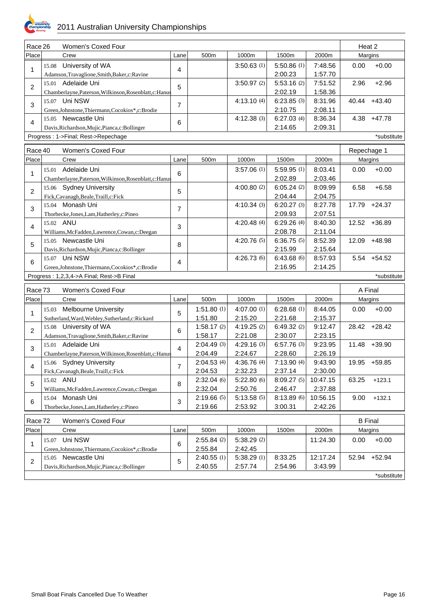

| Race 26        | Women's Coxed Four                                      |                |               |             |             |          | Heat 2      |                |
|----------------|---------------------------------------------------------|----------------|---------------|-------------|-------------|----------|-------------|----------------|
| Place          | Crew                                                    | Lane           | 500m          | 1000m       | 1500m       | 2000m    |             | Margins        |
|                | 15.08 University of WA                                  |                |               | 3:50.63(1)  | 5:50.86(1)  | 7:48.56  | 0.00        | $+0.00$        |
| 1              | Adamson, Travaglione, Smith, Baker, c: Ravine           | 4              |               |             | 2:00.23     | 1:57.70  |             |                |
|                | 15.01 Adelaide Uni                                      |                |               | 3:50.97(2)  | 5:53.16(2)  | 7:51.52  | 2.96        | $+2.96$        |
| $\overline{2}$ | Chamberlayne, Paterson, Wilkinson, Rosenblatt, c: Hanus | 5              |               |             | 2:02.19     | 1:58.36  |             |                |
| 3              | 15.07 Uni NSW                                           | $\overline{7}$ |               | 4:13.10 (4) | 6:23.85(3)  | 8:31.96  |             | 40.44 +43.40   |
|                | Green, Johnstone, Thiermann, Cocokios*, c: Brodie       |                |               |             | 2:10.75     | 2:08.11  |             |                |
| 4              | 15.05 Newcastle Uni                                     | 6              |               | 4:12.38(3)  | 6:27.03(4)  | 8:36.34  |             | $4.38 + 47.78$ |
|                | Davis, Richardson, Mujic, Pianca, c: Bollinger          |                |               |             | 2:14.65     | 2:09.31  |             |                |
|                | Progress: 1->Final; Rest->Repechage                     |                |               |             |             |          |             | *substitute    |
| Race 40        | Women's Coxed Four                                      |                |               |             |             |          | Repechage 1 |                |
| Place          | Crew                                                    | Lane           | 500m          | 1000m       | 1500m       | 2000m    |             | Margins        |
|                | 15.01 Adelaide Uni                                      |                |               | 3:57.06(1)  | 5:59.95(1)  | 8:03.41  | 0.00        | $+0.00$        |
| 1              | Chamberlayne, Paterson, Wilkinson, Rosenblatt, c: Hanus | 6              |               |             | 2:02.89     | 2:03.46  |             |                |
|                | 15.06 Sydney University                                 |                |               | 4:00.80(2)  | 6:05.24(2)  | 8:09.99  | 6.58        | $+6.58$        |
| $\overline{2}$ | Fick, Cavanagh, Beale, Traill, c: Fick                  | 5              |               |             | 2:04.44     | 2:04.75  |             |                |
|                | 15.04 Monash Uni                                        |                |               | 4:10.34(3)  | 6:20.27(3)  | 8:27.78  |             | 17.79 +24.37   |
| 3              | Thorbecke, Jones, Lam, Hatherley, c: Pineo              | $\overline{7}$ |               |             | 2:09.93     | 2:07.51  |             |                |
| 4              | 15.02 ANU                                               | 3              |               | 4:20.48(4)  | 6:29.26(4)  | 8:40.30  |             | 12.52 +36.89   |
|                | Williams, McFadden, Lawrence, Cowan, c: Deegan          |                |               |             | 2:08.78     | 2:11.04  |             |                |
| 5              | 15.05 Newcastle Uni                                     | 8              |               | 4:20.76(5)  | 6:36.75(5)  | 8:52.39  |             | 12.09 +48.98   |
|                | Davis, Richardson, Mujic, Pianca, c: Bollinger          |                |               |             | 2:15.99     | 2:15.64  |             |                |
| 6              | 15.07 Uni NSW                                           | 4              |               | 4:26.73 (6) | 6:43.68(6)  | 8:57.93  |             | $5.54 + 54.52$ |
|                | Green, Johnstone, Thiermann, Cocokios*, c: Brodie       |                |               |             | 2:16.95     | 2:14.25  |             |                |
|                | Progress: 1,2,3,4->A Final; Rest->B Final               |                |               |             |             |          |             | *substitute    |
| Race 73        | Women's Coxed Four                                      |                |               |             |             |          | A Final     |                |
| Place          | Crew                                                    | Lane           | 500m          | 1000m       | 1500m       | 2000m    |             | Margins        |
|                | 15.03 Melbourne University                              |                | 1:51.80(1)    | 4:07.00(1)  | 6:28.68(1)  | 8:44.05  | 0.00        | $+0.00$        |
| 1              | Sutherland, Ward, Webley, Sutherland, c: Rickard        | 5              | 1:51.80       | 2:15.20     | 2:21.68     | 2:15.37  |             |                |
|                | 15.08 University of WA                                  |                | 1:58.17(2)    | 4:19.25(2)  | 6:49.32(2)  | 9:12.47  |             | 28.42 +28.42   |
| $\overline{2}$ | Adamson, Travaglione, Smith, Baker, c: Ravine           | 6              | 1:58.17       | 2:21.08     | 2:30.07     | 2:23.15  |             |                |
| 3              | 15.01 Adelaide Uni                                      | 4              | 2:04.49(3)    | 4:29.16(3)  | 6:57.76(3)  | 9:23.95  |             | 11.48 +39.90   |
|                | Chamberlayne, Paterson, Wilkinson, Rosenblatt, c: Hanus |                | 2:04.49       | 2:24.67     | 2:28.60     | 2:26.19  |             |                |
| 4              | 15.06 Sydney University                                 | 7              | 2:04.53(4)    | 4:36.76 (4) | 7:13.90(4)  | 9:43.90  |             | 19.95 +59.85   |
|                | Fick, Cavanagh, Beale, Traill, c: Fick                  |                | 2:04.53       | 2:32.23     | 2:37.14     | 2:30.00  |             |                |
| 5              | 15.02 ANU                                               | $\,8\,$        | 2:32.04(6)    | 5:22.80 (6) | 8:09.27(5)  | 10:47.15 | 63.25       | $+123.1$       |
|                | Williams, McFadden, Lawrence, Cowan, c: Deegan          |                | 2:32.04       | 2:50.76     | 2:46.47     | 2:37.88  |             |                |
| 6              | 15.04 Monash Uni                                        | 3              | 2:19.66(5)    | 5:13.58(5)  | 8:13.89 (6) | 10:56.15 | 9.00        | $+132.1$       |
|                | Thorbecke, Jones, Lam, Hatherley, c: Pineo              |                | 2:19.66       | 2:53.92     | 3:00.31     | 2:42.26  |             |                |
| Race 72        | Women's Coxed Four                                      |                |               |             |             |          |             | <b>B</b> Final |
| Place          | Crew                                                    | Lane           | 500m          | 1000m       | 1500m       | 2000m    |             | Margins        |
| 1              | Uni NSW<br>15.07                                        | 6              | $2:55.84$ (2) | 5:38.29(2)  |             | 11:24.30 | 0.00        | $+0.00$        |
|                | Green, Johnstone, Thiermann, Cocokios*, c: Brodie       |                | 2:55.84       | 2:42.45     |             |          |             |                |
| $\overline{2}$ | 15.05 Newcastle Uni                                     | 5              | 2:40.55(1)    | 5:38.29(1)  | 8:33.25     | 12:17.24 | 52.94       | $+52.94$       |
|                | Davis, Richardson, Mujic, Pianca, c: Bollinger          |                | 2:40.55       | 2:57.74     | 2:54.96     | 3:43.99  |             |                |
|                |                                                         |                |               |             |             |          |             | *substitute    |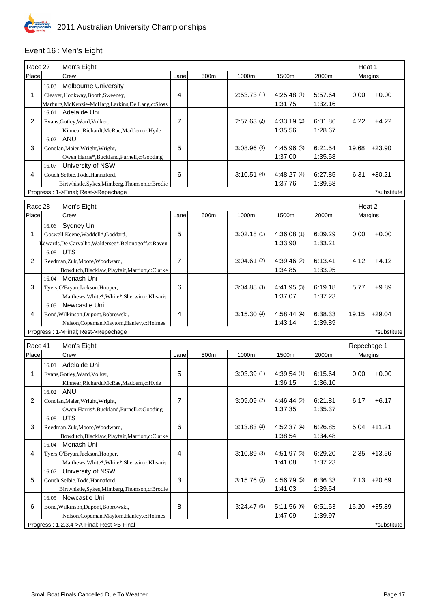

# Event 16 : Men's Eight

|                | Race 27<br>Men's Eight                                 |                |      |            |             |         |             | Heat 1         |  |
|----------------|--------------------------------------------------------|----------------|------|------------|-------------|---------|-------------|----------------|--|
| Place          | Crew                                                   | Lane           | 500m | 1000m      | 1500m       | 2000m   |             | Margins        |  |
|                | <b>Melbourne University</b><br>16.03                   |                |      |            |             |         |             |                |  |
| 1              | Cleaver, Hookway, Booth, Sweeney,                      | 4              |      | 2:53.73(1) | 4:25.48(1)  | 5:57.64 | 0.00        | $+0.00$        |  |
|                | Marburg, McKenzie-McHarg, Larkins, De Lang, c: Sloss   |                |      |            | 1:31.75     | 1:32.16 |             |                |  |
|                | 16.01 Adelaide Uni                                     |                |      |            |             |         |             |                |  |
| $\overline{2}$ | Evans, Gotley, Ward, Volker,                           | $\overline{7}$ |      | 2:57.63(2) | 4:33.19(2)  | 6:01.86 | 4.22        | +4.22          |  |
|                | Kinnear, Richardt, McRae, Maddern, c: Hyde             |                |      |            | 1:35.56     | 1:28.67 |             |                |  |
|                | 16.02 ANU                                              |                |      |            |             |         |             |                |  |
| 3              | Conolan, Maier, Wright, Wright,                        | 5              |      | 3:08.96(3) | 4:45.96(3)  | 6:21.54 | 19.68       | $+23.90$       |  |
|                | Owen, Harris*, Buckland, Purnell, c: Gooding           |                |      |            | 1:37.00     | 1:35.58 |             |                |  |
|                | University of NSW<br>16.07                             |                |      |            |             |         |             |                |  |
| 4              | Couch, Selbie, Todd, Hannaford,                        | 6              |      | 3:10.51(4) | 4:48.27(4)  | 6:27.85 | 6.31        | $+30.21$       |  |
|                | Birtwhistle, Sykes, Mimberg, Thomson, c: Brodie        |                |      |            | 1:37.76     | 1:39.58 |             |                |  |
|                | Progress: 1->Final; Rest->Repechage                    |                |      |            |             |         |             | *substitute    |  |
| Race 28        | Men's Eight                                            |                |      |            |             |         | Heat 2      |                |  |
| Place          | Crew                                                   | Lane           | 500m | 1000m      | 1500m       | 2000m   |             | Margins        |  |
|                | Sydney Uni<br>16.06                                    |                |      |            |             |         |             |                |  |
| 1              | Goswell, Keene, Waddell*, Goddard,                     | 5              |      | 3:02.18(1) | 4:36.08(1)  | 6:09.29 | 0.00        | $+0.00$        |  |
|                | #dwards, De Carvalho, Waldersee*, Belonogoff, c: Raven |                |      |            | 1:33.90     | 1:33.21 |             |                |  |
|                | 16.08 UTS                                              |                |      |            |             |         |             |                |  |
| $\overline{2}$ | Reedman, Zuk, Moore, Woodward,                         | $\overline{7}$ |      | 3:04.61(2) | 4:39.46(2)  | 6:13.41 | 4.12        | $+4.12$        |  |
|                | Bowditch, Blacklaw, Playfair, Marriott, c: Clarke      |                |      |            | 1:34.85     | 1:33.95 |             |                |  |
|                | 16.04 Monash Uni                                       |                |      |            |             |         |             |                |  |
| 3              | Tyers, O'Bryan, Jackson, Hooper,                       | 6              |      | 3:04.88(3) | 4:41.95(3)  | 6:19.18 | 5.77        | $+9.89$        |  |
|                | Matthews, White*, White*, Sherwin, c: Klisaris         |                |      |            | 1:37.07     | 1:37.23 |             |                |  |
|                | 16.05 Newcastle Uni                                    |                |      |            |             |         |             |                |  |
| 4              | Bond, Wilkinson, Dupont, Bobrowski,                    | 4              |      | 3:15.30(4) | 4:58.44(4)  | 6:38.33 | 19.15       | $+29.04$       |  |
|                | Nelson, Copeman, Maytom, Hanley, c: Holmes             |                |      |            | 1:43.14     | 1:39.89 |             |                |  |
|                | Progress: 1->Final; Rest->Repechage                    |                |      |            |             |         |             | *substitute    |  |
| Race 41        | Men's Eight                                            |                |      |            |             |         | Repechage 1 |                |  |
| Place          | Crew                                                   | Lane           | 500m | 1000m      | 1500m       | 2000m   |             | Margins        |  |
|                | Adelaide Uni<br>16.01                                  |                |      |            |             |         |             |                |  |
| 1              | Evans, Gotley, Ward, Volker,                           | 5              |      | 3:03.39(1) | 4:39.54(1)  | 6:15.64 | 0.00        | $+0.00$        |  |
|                | Kinnear, Richardt, McRae, Maddern, c: Hyde             |                |      |            | 1:36.15     | 1:36.10 |             |                |  |
|                | 16.02 ANU                                              |                |      |            |             |         |             |                |  |
| 2              | Conolan, Maier, Wright, Wright,                        | $\overline{7}$ |      | 3:09.09(2) | 4:46.44(2)  | 6:21.81 | 6.17        | $+6.17$        |  |
|                | Owen, Harris*, Buckland, Purnell, c: Gooding           |                |      |            | 1:37.35     | 1:35.37 |             |                |  |
|                | 16.08 UTS                                              |                |      |            |             |         |             |                |  |
| 3              | Reedman, Zuk, Moore, Woodward,                         | 6              |      | 3:13.83(4) | 4:52.37 (4) | 6:26.85 |             | $5.04$ +11.21  |  |
|                | Bowditch, Blacklaw, Playfair, Marriott, c: Clarke      |                |      |            | 1:38.54     | 1:34.48 |             |                |  |
|                | 16.04 Monash Uni                                       |                |      |            |             |         |             |                |  |
| 4              | Tyers, O'Bryan, Jackson, Hooper,                       | 4              |      | 3:10.89(3) | 4:51.97(3)  | 6:29.20 |             | $2.35 + 13.56$ |  |
|                | Matthews, White*, White*, Sherwin, c: Klisaris         |                |      |            | 1:41.08     | 1:37.23 |             |                |  |
|                | University of NSW<br>16.07                             |                |      |            |             |         |             |                |  |
| 5              | Couch, Selbie, Todd, Hannaford,                        | 3              |      | 3:15.76(5) | 4:56.79 (5) | 6:36.33 |             | $7.13 +20.69$  |  |
|                | Birtwhistle, Sykes, Mimberg, Thomson, c: Brodie        |                |      |            | 1:41.03     | 1:39.54 |             |                |  |
|                | 16.05 Newcastle Uni                                    |                |      |            |             |         |             |                |  |
| 6              | Bond, Wilkinson, Dupont, Bobrowski,                    | 8              |      | 3:24.47(6) | 5:11.56(6)  | 6:51.53 | 15.20       | $+35.89$       |  |
|                | Nelson, Copeman, Maytom, Hanley, c: Holmes             |                |      |            | 1:47.09     | 1:39.97 |             |                |  |
|                | Progress: 1,2,3,4->A Final; Rest->B Final              |                |      |            |             |         |             | *substitute    |  |